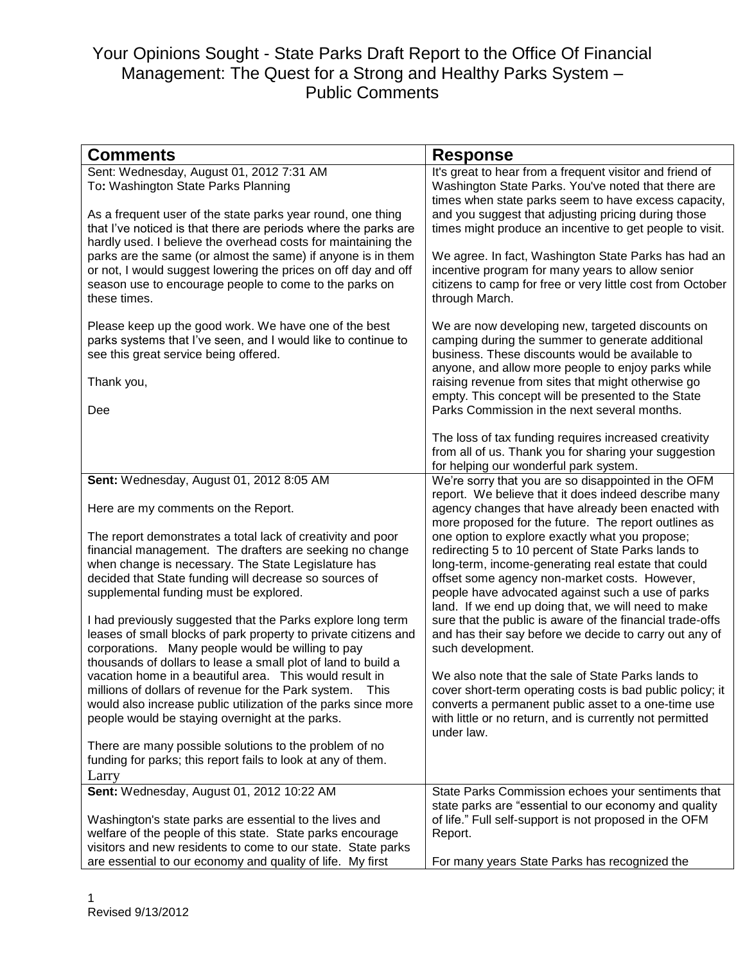| Sent: Wednesday, August 01, 2012 7:31 AM<br>It's great to hear from a frequent visitor and friend of<br>To: Washington State Parks Planning<br>Washington State Parks. You've noted that there are<br>times when state parks seem to have excess capacity,<br>and you suggest that adjusting pricing during those<br>As a frequent user of the state parks year round, one thing<br>that I've noticed is that there are periods where the parks are<br>times might produce an incentive to get people to visit.<br>hardly used. I believe the overhead costs for maintaining the<br>parks are the same (or almost the same) if anyone is in them<br>We agree. In fact, Washington State Parks has had an<br>or not, I would suggest lowering the prices on off day and off<br>incentive program for many years to allow senior<br>citizens to camp for free or very little cost from October<br>season use to encourage people to come to the parks on<br>these times.<br>through March.<br>We are now developing new, targeted discounts on<br>Please keep up the good work. We have one of the best<br>parks systems that I've seen, and I would like to continue to<br>camping during the summer to generate additional<br>business. These discounts would be available to<br>see this great service being offered.<br>anyone, and allow more people to enjoy parks while<br>Thank you,<br>raising revenue from sites that might otherwise go<br>empty. This concept will be presented to the State<br>Parks Commission in the next several months.<br>Dee<br>The loss of tax funding requires increased creativity<br>from all of us. Thank you for sharing your suggestion<br>for helping our wonderful park system.<br>We're sorry that you are so disappointed in the OFM<br>Sent: Wednesday, August 01, 2012 8:05 AM<br>report. We believe that it does indeed describe many<br>Here are my comments on the Report.<br>agency changes that have already been enacted with<br>more proposed for the future. The report outlines as<br>one option to explore exactly what you propose;<br>The report demonstrates a total lack of creativity and poor<br>financial management. The drafters are seeking no change<br>redirecting 5 to 10 percent of State Parks lands to<br>when change is necessary. The State Legislature has<br>long-term, income-generating real estate that could<br>decided that State funding will decrease so sources of<br>offset some agency non-market costs. However,<br>supplemental funding must be explored.<br>people have advocated against such a use of parks<br>land. If we end up doing that, we will need to make<br>sure that the public is aware of the financial trade-offs<br>I had previously suggested that the Parks explore long term<br>leases of small blocks of park property to private citizens and<br>and has their say before we decide to carry out any of<br>corporations. Many people would be willing to pay<br>such development.<br>thousands of dollars to lease a small plot of land to build a<br>vacation home in a beautiful area. This would result in<br>We also note that the sale of State Parks lands to<br>millions of dollars of revenue for the Park system.<br>cover short-term operating costs is bad public policy; it<br>This<br>would also increase public utilization of the parks since more<br>converts a permanent public asset to a one-time use<br>people would be staying overnight at the parks.<br>with little or no return, and is currently not permitted<br>under law.<br>There are many possible solutions to the problem of no<br>funding for parks; this report fails to look at any of them. |                 |                 |
|------------------------------------------------------------------------------------------------------------------------------------------------------------------------------------------------------------------------------------------------------------------------------------------------------------------------------------------------------------------------------------------------------------------------------------------------------------------------------------------------------------------------------------------------------------------------------------------------------------------------------------------------------------------------------------------------------------------------------------------------------------------------------------------------------------------------------------------------------------------------------------------------------------------------------------------------------------------------------------------------------------------------------------------------------------------------------------------------------------------------------------------------------------------------------------------------------------------------------------------------------------------------------------------------------------------------------------------------------------------------------------------------------------------------------------------------------------------------------------------------------------------------------------------------------------------------------------------------------------------------------------------------------------------------------------------------------------------------------------------------------------------------------------------------------------------------------------------------------------------------------------------------------------------------------------------------------------------------------------------------------------------------------------------------------------------------------------------------------------------------------------------------------------------------------------------------------------------------------------------------------------------------------------------------------------------------------------------------------------------------------------------------------------------------------------------------------------------------------------------------------------------------------------------------------------------------------------------------------------------------------------------------------------------------------------------------------------------------------------------------------------------------------------------------------------------------------------------------------------------------------------------------------------------------------------------------------------------------------------------------------------------------------------------------------------------------------------------------------------------------------------------------------------------------------------------------------------------------------------------------------------------------------------------------------------------------------------------------------------------------------------------------------------------------------------------------------------------------------------------------------------------------------------------------------------------------------------------------------------------------------------------------------------------------------------------------|-----------------|-----------------|
|                                                                                                                                                                                                                                                                                                                                                                                                                                                                                                                                                                                                                                                                                                                                                                                                                                                                                                                                                                                                                                                                                                                                                                                                                                                                                                                                                                                                                                                                                                                                                                                                                                                                                                                                                                                                                                                                                                                                                                                                                                                                                                                                                                                                                                                                                                                                                                                                                                                                                                                                                                                                                                                                                                                                                                                                                                                                                                                                                                                                                                                                                                                                                                                                                                                                                                                                                                                                                                                                                                                                                                                                                                                                                                | <b>Comments</b> | <b>Response</b> |
|                                                                                                                                                                                                                                                                                                                                                                                                                                                                                                                                                                                                                                                                                                                                                                                                                                                                                                                                                                                                                                                                                                                                                                                                                                                                                                                                                                                                                                                                                                                                                                                                                                                                                                                                                                                                                                                                                                                                                                                                                                                                                                                                                                                                                                                                                                                                                                                                                                                                                                                                                                                                                                                                                                                                                                                                                                                                                                                                                                                                                                                                                                                                                                                                                                                                                                                                                                                                                                                                                                                                                                                                                                                                                                |                 |                 |
|                                                                                                                                                                                                                                                                                                                                                                                                                                                                                                                                                                                                                                                                                                                                                                                                                                                                                                                                                                                                                                                                                                                                                                                                                                                                                                                                                                                                                                                                                                                                                                                                                                                                                                                                                                                                                                                                                                                                                                                                                                                                                                                                                                                                                                                                                                                                                                                                                                                                                                                                                                                                                                                                                                                                                                                                                                                                                                                                                                                                                                                                                                                                                                                                                                                                                                                                                                                                                                                                                                                                                                                                                                                                                                |                 |                 |
|                                                                                                                                                                                                                                                                                                                                                                                                                                                                                                                                                                                                                                                                                                                                                                                                                                                                                                                                                                                                                                                                                                                                                                                                                                                                                                                                                                                                                                                                                                                                                                                                                                                                                                                                                                                                                                                                                                                                                                                                                                                                                                                                                                                                                                                                                                                                                                                                                                                                                                                                                                                                                                                                                                                                                                                                                                                                                                                                                                                                                                                                                                                                                                                                                                                                                                                                                                                                                                                                                                                                                                                                                                                                                                |                 |                 |
|                                                                                                                                                                                                                                                                                                                                                                                                                                                                                                                                                                                                                                                                                                                                                                                                                                                                                                                                                                                                                                                                                                                                                                                                                                                                                                                                                                                                                                                                                                                                                                                                                                                                                                                                                                                                                                                                                                                                                                                                                                                                                                                                                                                                                                                                                                                                                                                                                                                                                                                                                                                                                                                                                                                                                                                                                                                                                                                                                                                                                                                                                                                                                                                                                                                                                                                                                                                                                                                                                                                                                                                                                                                                                                |                 |                 |
|                                                                                                                                                                                                                                                                                                                                                                                                                                                                                                                                                                                                                                                                                                                                                                                                                                                                                                                                                                                                                                                                                                                                                                                                                                                                                                                                                                                                                                                                                                                                                                                                                                                                                                                                                                                                                                                                                                                                                                                                                                                                                                                                                                                                                                                                                                                                                                                                                                                                                                                                                                                                                                                                                                                                                                                                                                                                                                                                                                                                                                                                                                                                                                                                                                                                                                                                                                                                                                                                                                                                                                                                                                                                                                |                 |                 |
|                                                                                                                                                                                                                                                                                                                                                                                                                                                                                                                                                                                                                                                                                                                                                                                                                                                                                                                                                                                                                                                                                                                                                                                                                                                                                                                                                                                                                                                                                                                                                                                                                                                                                                                                                                                                                                                                                                                                                                                                                                                                                                                                                                                                                                                                                                                                                                                                                                                                                                                                                                                                                                                                                                                                                                                                                                                                                                                                                                                                                                                                                                                                                                                                                                                                                                                                                                                                                                                                                                                                                                                                                                                                                                |                 |                 |
|                                                                                                                                                                                                                                                                                                                                                                                                                                                                                                                                                                                                                                                                                                                                                                                                                                                                                                                                                                                                                                                                                                                                                                                                                                                                                                                                                                                                                                                                                                                                                                                                                                                                                                                                                                                                                                                                                                                                                                                                                                                                                                                                                                                                                                                                                                                                                                                                                                                                                                                                                                                                                                                                                                                                                                                                                                                                                                                                                                                                                                                                                                                                                                                                                                                                                                                                                                                                                                                                                                                                                                                                                                                                                                |                 |                 |
|                                                                                                                                                                                                                                                                                                                                                                                                                                                                                                                                                                                                                                                                                                                                                                                                                                                                                                                                                                                                                                                                                                                                                                                                                                                                                                                                                                                                                                                                                                                                                                                                                                                                                                                                                                                                                                                                                                                                                                                                                                                                                                                                                                                                                                                                                                                                                                                                                                                                                                                                                                                                                                                                                                                                                                                                                                                                                                                                                                                                                                                                                                                                                                                                                                                                                                                                                                                                                                                                                                                                                                                                                                                                                                |                 |                 |
|                                                                                                                                                                                                                                                                                                                                                                                                                                                                                                                                                                                                                                                                                                                                                                                                                                                                                                                                                                                                                                                                                                                                                                                                                                                                                                                                                                                                                                                                                                                                                                                                                                                                                                                                                                                                                                                                                                                                                                                                                                                                                                                                                                                                                                                                                                                                                                                                                                                                                                                                                                                                                                                                                                                                                                                                                                                                                                                                                                                                                                                                                                                                                                                                                                                                                                                                                                                                                                                                                                                                                                                                                                                                                                |                 |                 |
|                                                                                                                                                                                                                                                                                                                                                                                                                                                                                                                                                                                                                                                                                                                                                                                                                                                                                                                                                                                                                                                                                                                                                                                                                                                                                                                                                                                                                                                                                                                                                                                                                                                                                                                                                                                                                                                                                                                                                                                                                                                                                                                                                                                                                                                                                                                                                                                                                                                                                                                                                                                                                                                                                                                                                                                                                                                                                                                                                                                                                                                                                                                                                                                                                                                                                                                                                                                                                                                                                                                                                                                                                                                                                                |                 |                 |
|                                                                                                                                                                                                                                                                                                                                                                                                                                                                                                                                                                                                                                                                                                                                                                                                                                                                                                                                                                                                                                                                                                                                                                                                                                                                                                                                                                                                                                                                                                                                                                                                                                                                                                                                                                                                                                                                                                                                                                                                                                                                                                                                                                                                                                                                                                                                                                                                                                                                                                                                                                                                                                                                                                                                                                                                                                                                                                                                                                                                                                                                                                                                                                                                                                                                                                                                                                                                                                                                                                                                                                                                                                                                                                |                 |                 |
|                                                                                                                                                                                                                                                                                                                                                                                                                                                                                                                                                                                                                                                                                                                                                                                                                                                                                                                                                                                                                                                                                                                                                                                                                                                                                                                                                                                                                                                                                                                                                                                                                                                                                                                                                                                                                                                                                                                                                                                                                                                                                                                                                                                                                                                                                                                                                                                                                                                                                                                                                                                                                                                                                                                                                                                                                                                                                                                                                                                                                                                                                                                                                                                                                                                                                                                                                                                                                                                                                                                                                                                                                                                                                                |                 |                 |
|                                                                                                                                                                                                                                                                                                                                                                                                                                                                                                                                                                                                                                                                                                                                                                                                                                                                                                                                                                                                                                                                                                                                                                                                                                                                                                                                                                                                                                                                                                                                                                                                                                                                                                                                                                                                                                                                                                                                                                                                                                                                                                                                                                                                                                                                                                                                                                                                                                                                                                                                                                                                                                                                                                                                                                                                                                                                                                                                                                                                                                                                                                                                                                                                                                                                                                                                                                                                                                                                                                                                                                                                                                                                                                |                 |                 |
|                                                                                                                                                                                                                                                                                                                                                                                                                                                                                                                                                                                                                                                                                                                                                                                                                                                                                                                                                                                                                                                                                                                                                                                                                                                                                                                                                                                                                                                                                                                                                                                                                                                                                                                                                                                                                                                                                                                                                                                                                                                                                                                                                                                                                                                                                                                                                                                                                                                                                                                                                                                                                                                                                                                                                                                                                                                                                                                                                                                                                                                                                                                                                                                                                                                                                                                                                                                                                                                                                                                                                                                                                                                                                                |                 |                 |
|                                                                                                                                                                                                                                                                                                                                                                                                                                                                                                                                                                                                                                                                                                                                                                                                                                                                                                                                                                                                                                                                                                                                                                                                                                                                                                                                                                                                                                                                                                                                                                                                                                                                                                                                                                                                                                                                                                                                                                                                                                                                                                                                                                                                                                                                                                                                                                                                                                                                                                                                                                                                                                                                                                                                                                                                                                                                                                                                                                                                                                                                                                                                                                                                                                                                                                                                                                                                                                                                                                                                                                                                                                                                                                |                 |                 |
|                                                                                                                                                                                                                                                                                                                                                                                                                                                                                                                                                                                                                                                                                                                                                                                                                                                                                                                                                                                                                                                                                                                                                                                                                                                                                                                                                                                                                                                                                                                                                                                                                                                                                                                                                                                                                                                                                                                                                                                                                                                                                                                                                                                                                                                                                                                                                                                                                                                                                                                                                                                                                                                                                                                                                                                                                                                                                                                                                                                                                                                                                                                                                                                                                                                                                                                                                                                                                                                                                                                                                                                                                                                                                                |                 |                 |
|                                                                                                                                                                                                                                                                                                                                                                                                                                                                                                                                                                                                                                                                                                                                                                                                                                                                                                                                                                                                                                                                                                                                                                                                                                                                                                                                                                                                                                                                                                                                                                                                                                                                                                                                                                                                                                                                                                                                                                                                                                                                                                                                                                                                                                                                                                                                                                                                                                                                                                                                                                                                                                                                                                                                                                                                                                                                                                                                                                                                                                                                                                                                                                                                                                                                                                                                                                                                                                                                                                                                                                                                                                                                                                |                 |                 |
|                                                                                                                                                                                                                                                                                                                                                                                                                                                                                                                                                                                                                                                                                                                                                                                                                                                                                                                                                                                                                                                                                                                                                                                                                                                                                                                                                                                                                                                                                                                                                                                                                                                                                                                                                                                                                                                                                                                                                                                                                                                                                                                                                                                                                                                                                                                                                                                                                                                                                                                                                                                                                                                                                                                                                                                                                                                                                                                                                                                                                                                                                                                                                                                                                                                                                                                                                                                                                                                                                                                                                                                                                                                                                                |                 |                 |
|                                                                                                                                                                                                                                                                                                                                                                                                                                                                                                                                                                                                                                                                                                                                                                                                                                                                                                                                                                                                                                                                                                                                                                                                                                                                                                                                                                                                                                                                                                                                                                                                                                                                                                                                                                                                                                                                                                                                                                                                                                                                                                                                                                                                                                                                                                                                                                                                                                                                                                                                                                                                                                                                                                                                                                                                                                                                                                                                                                                                                                                                                                                                                                                                                                                                                                                                                                                                                                                                                                                                                                                                                                                                                                |                 |                 |
|                                                                                                                                                                                                                                                                                                                                                                                                                                                                                                                                                                                                                                                                                                                                                                                                                                                                                                                                                                                                                                                                                                                                                                                                                                                                                                                                                                                                                                                                                                                                                                                                                                                                                                                                                                                                                                                                                                                                                                                                                                                                                                                                                                                                                                                                                                                                                                                                                                                                                                                                                                                                                                                                                                                                                                                                                                                                                                                                                                                                                                                                                                                                                                                                                                                                                                                                                                                                                                                                                                                                                                                                                                                                                                |                 |                 |
|                                                                                                                                                                                                                                                                                                                                                                                                                                                                                                                                                                                                                                                                                                                                                                                                                                                                                                                                                                                                                                                                                                                                                                                                                                                                                                                                                                                                                                                                                                                                                                                                                                                                                                                                                                                                                                                                                                                                                                                                                                                                                                                                                                                                                                                                                                                                                                                                                                                                                                                                                                                                                                                                                                                                                                                                                                                                                                                                                                                                                                                                                                                                                                                                                                                                                                                                                                                                                                                                                                                                                                                                                                                                                                |                 |                 |
|                                                                                                                                                                                                                                                                                                                                                                                                                                                                                                                                                                                                                                                                                                                                                                                                                                                                                                                                                                                                                                                                                                                                                                                                                                                                                                                                                                                                                                                                                                                                                                                                                                                                                                                                                                                                                                                                                                                                                                                                                                                                                                                                                                                                                                                                                                                                                                                                                                                                                                                                                                                                                                                                                                                                                                                                                                                                                                                                                                                                                                                                                                                                                                                                                                                                                                                                                                                                                                                                                                                                                                                                                                                                                                |                 |                 |
|                                                                                                                                                                                                                                                                                                                                                                                                                                                                                                                                                                                                                                                                                                                                                                                                                                                                                                                                                                                                                                                                                                                                                                                                                                                                                                                                                                                                                                                                                                                                                                                                                                                                                                                                                                                                                                                                                                                                                                                                                                                                                                                                                                                                                                                                                                                                                                                                                                                                                                                                                                                                                                                                                                                                                                                                                                                                                                                                                                                                                                                                                                                                                                                                                                                                                                                                                                                                                                                                                                                                                                                                                                                                                                |                 |                 |
|                                                                                                                                                                                                                                                                                                                                                                                                                                                                                                                                                                                                                                                                                                                                                                                                                                                                                                                                                                                                                                                                                                                                                                                                                                                                                                                                                                                                                                                                                                                                                                                                                                                                                                                                                                                                                                                                                                                                                                                                                                                                                                                                                                                                                                                                                                                                                                                                                                                                                                                                                                                                                                                                                                                                                                                                                                                                                                                                                                                                                                                                                                                                                                                                                                                                                                                                                                                                                                                                                                                                                                                                                                                                                                |                 |                 |
|                                                                                                                                                                                                                                                                                                                                                                                                                                                                                                                                                                                                                                                                                                                                                                                                                                                                                                                                                                                                                                                                                                                                                                                                                                                                                                                                                                                                                                                                                                                                                                                                                                                                                                                                                                                                                                                                                                                                                                                                                                                                                                                                                                                                                                                                                                                                                                                                                                                                                                                                                                                                                                                                                                                                                                                                                                                                                                                                                                                                                                                                                                                                                                                                                                                                                                                                                                                                                                                                                                                                                                                                                                                                                                |                 |                 |
|                                                                                                                                                                                                                                                                                                                                                                                                                                                                                                                                                                                                                                                                                                                                                                                                                                                                                                                                                                                                                                                                                                                                                                                                                                                                                                                                                                                                                                                                                                                                                                                                                                                                                                                                                                                                                                                                                                                                                                                                                                                                                                                                                                                                                                                                                                                                                                                                                                                                                                                                                                                                                                                                                                                                                                                                                                                                                                                                                                                                                                                                                                                                                                                                                                                                                                                                                                                                                                                                                                                                                                                                                                                                                                |                 |                 |
|                                                                                                                                                                                                                                                                                                                                                                                                                                                                                                                                                                                                                                                                                                                                                                                                                                                                                                                                                                                                                                                                                                                                                                                                                                                                                                                                                                                                                                                                                                                                                                                                                                                                                                                                                                                                                                                                                                                                                                                                                                                                                                                                                                                                                                                                                                                                                                                                                                                                                                                                                                                                                                                                                                                                                                                                                                                                                                                                                                                                                                                                                                                                                                                                                                                                                                                                                                                                                                                                                                                                                                                                                                                                                                |                 |                 |
| Larry                                                                                                                                                                                                                                                                                                                                                                                                                                                                                                                                                                                                                                                                                                                                                                                                                                                                                                                                                                                                                                                                                                                                                                                                                                                                                                                                                                                                                                                                                                                                                                                                                                                                                                                                                                                                                                                                                                                                                                                                                                                                                                                                                                                                                                                                                                                                                                                                                                                                                                                                                                                                                                                                                                                                                                                                                                                                                                                                                                                                                                                                                                                                                                                                                                                                                                                                                                                                                                                                                                                                                                                                                                                                                          |                 |                 |
| Sent: Wednesday, August 01, 2012 10:22 AM<br>State Parks Commission echoes your sentiments that<br>state parks are "essential to our economy and quality                                                                                                                                                                                                                                                                                                                                                                                                                                                                                                                                                                                                                                                                                                                                                                                                                                                                                                                                                                                                                                                                                                                                                                                                                                                                                                                                                                                                                                                                                                                                                                                                                                                                                                                                                                                                                                                                                                                                                                                                                                                                                                                                                                                                                                                                                                                                                                                                                                                                                                                                                                                                                                                                                                                                                                                                                                                                                                                                                                                                                                                                                                                                                                                                                                                                                                                                                                                                                                                                                                                                       |                 |                 |
| Washington's state parks are essential to the lives and<br>of life." Full self-support is not proposed in the OFM                                                                                                                                                                                                                                                                                                                                                                                                                                                                                                                                                                                                                                                                                                                                                                                                                                                                                                                                                                                                                                                                                                                                                                                                                                                                                                                                                                                                                                                                                                                                                                                                                                                                                                                                                                                                                                                                                                                                                                                                                                                                                                                                                                                                                                                                                                                                                                                                                                                                                                                                                                                                                                                                                                                                                                                                                                                                                                                                                                                                                                                                                                                                                                                                                                                                                                                                                                                                                                                                                                                                                                              |                 |                 |
| welfare of the people of this state. State parks encourage<br>Report.                                                                                                                                                                                                                                                                                                                                                                                                                                                                                                                                                                                                                                                                                                                                                                                                                                                                                                                                                                                                                                                                                                                                                                                                                                                                                                                                                                                                                                                                                                                                                                                                                                                                                                                                                                                                                                                                                                                                                                                                                                                                                                                                                                                                                                                                                                                                                                                                                                                                                                                                                                                                                                                                                                                                                                                                                                                                                                                                                                                                                                                                                                                                                                                                                                                                                                                                                                                                                                                                                                                                                                                                                          |                 |                 |
| visitors and new residents to come to our state. State parks<br>are essential to our economy and quality of life. My first<br>For many years State Parks has recognized the                                                                                                                                                                                                                                                                                                                                                                                                                                                                                                                                                                                                                                                                                                                                                                                                                                                                                                                                                                                                                                                                                                                                                                                                                                                                                                                                                                                                                                                                                                                                                                                                                                                                                                                                                                                                                                                                                                                                                                                                                                                                                                                                                                                                                                                                                                                                                                                                                                                                                                                                                                                                                                                                                                                                                                                                                                                                                                                                                                                                                                                                                                                                                                                                                                                                                                                                                                                                                                                                                                                    |                 |                 |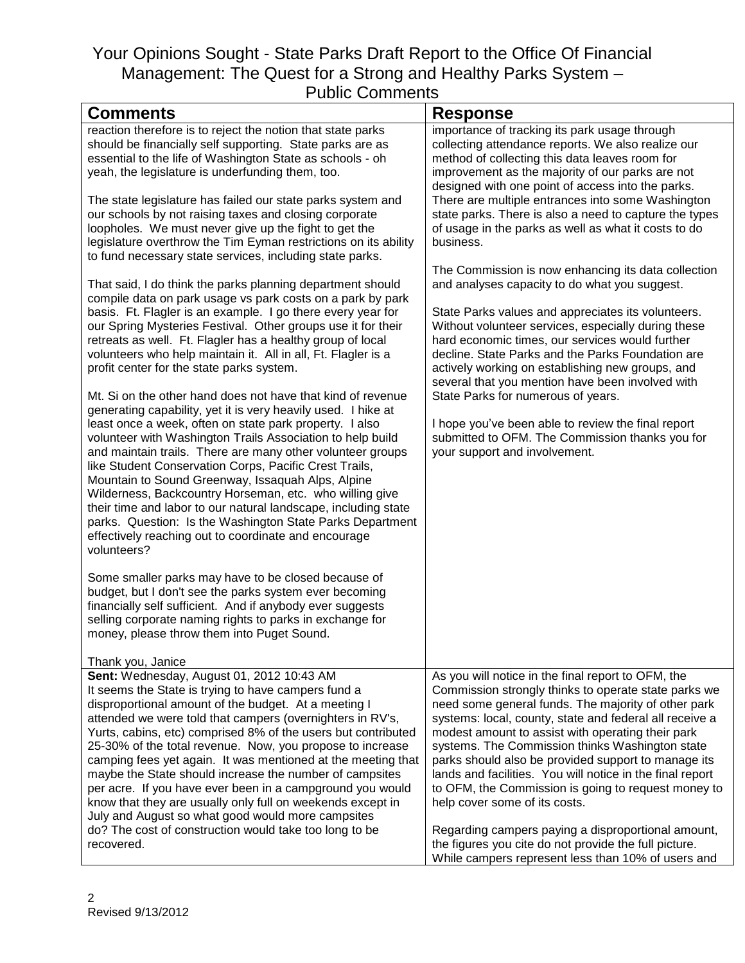| <b>Response</b>                                                                                                                                                                                                                                                                                                                                                                                                                                                                                                                                                                                                                                                                                                                                                                                                                                                                                                                                                                                                                                                         |
|-------------------------------------------------------------------------------------------------------------------------------------------------------------------------------------------------------------------------------------------------------------------------------------------------------------------------------------------------------------------------------------------------------------------------------------------------------------------------------------------------------------------------------------------------------------------------------------------------------------------------------------------------------------------------------------------------------------------------------------------------------------------------------------------------------------------------------------------------------------------------------------------------------------------------------------------------------------------------------------------------------------------------------------------------------------------------|
| importance of tracking its park usage through<br>collecting attendance reports. We also realize our<br>method of collecting this data leaves room for<br>improvement as the majority of our parks are not<br>designed with one point of access into the parks.<br>There are multiple entrances into some Washington<br>state parks. There is also a need to capture the types<br>of usage in the parks as well as what it costs to do<br>business.<br>The Commission is now enhancing its data collection<br>and analyses capacity to do what you suggest.<br>State Parks values and appreciates its volunteers.<br>Without volunteer services, especially during these<br>hard economic times, our services would further<br>decline. State Parks and the Parks Foundation are<br>actively working on establishing new groups, and<br>several that you mention have been involved with<br>State Parks for numerous of years.<br>I hope you've been able to review the final report<br>submitted to OFM. The Commission thanks you for<br>your support and involvement. |
|                                                                                                                                                                                                                                                                                                                                                                                                                                                                                                                                                                                                                                                                                                                                                                                                                                                                                                                                                                                                                                                                         |
|                                                                                                                                                                                                                                                                                                                                                                                                                                                                                                                                                                                                                                                                                                                                                                                                                                                                                                                                                                                                                                                                         |
| As you will notice in the final report to OFM, the<br>Commission strongly thinks to operate state parks we<br>need some general funds. The majority of other park<br>systems: local, county, state and federal all receive a<br>modest amount to assist with operating their park<br>systems. The Commission thinks Washington state<br>parks should also be provided support to manage its<br>lands and facilities. You will notice in the final report<br>to OFM, the Commission is going to request money to<br>help cover some of its costs.<br>Regarding campers paying a disproportional amount,<br>the figures you cite do not provide the full picture.<br>While campers represent less than 10% of users and                                                                                                                                                                                                                                                                                                                                                   |
| parks. Question: Is the Washington State Parks Department<br>camping fees yet again. It was mentioned at the meeting that                                                                                                                                                                                                                                                                                                                                                                                                                                                                                                                                                                                                                                                                                                                                                                                                                                                                                                                                               |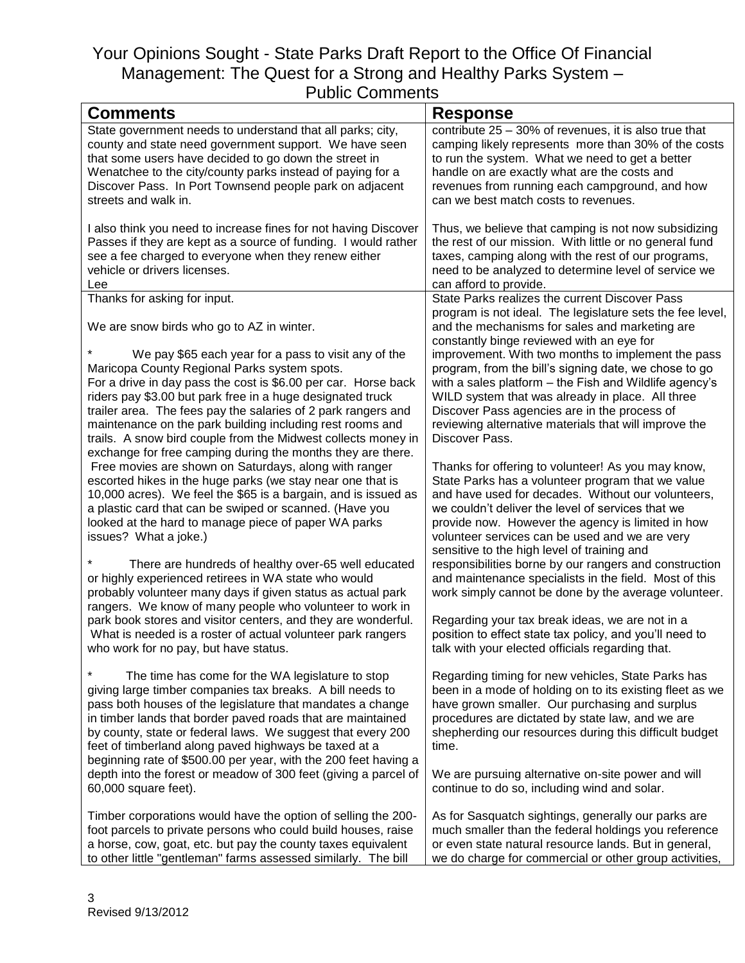| <b>Comments</b>                                                                                                                                                                                                                                                                                                                                                                                                                                                                                                                                                                                                                                                                                                                                                                                                                                                                                                                                                                                                                                                                                                                                                                                                                                                                                | <b>Response</b>                                                                                                                                                                                                                                                                                                                                                                                                                                                                                                                                                                                                                                                                                                                                                                                                                                                                                                                                                                                                                                                                                                                                                                                                                          |
|------------------------------------------------------------------------------------------------------------------------------------------------------------------------------------------------------------------------------------------------------------------------------------------------------------------------------------------------------------------------------------------------------------------------------------------------------------------------------------------------------------------------------------------------------------------------------------------------------------------------------------------------------------------------------------------------------------------------------------------------------------------------------------------------------------------------------------------------------------------------------------------------------------------------------------------------------------------------------------------------------------------------------------------------------------------------------------------------------------------------------------------------------------------------------------------------------------------------------------------------------------------------------------------------|------------------------------------------------------------------------------------------------------------------------------------------------------------------------------------------------------------------------------------------------------------------------------------------------------------------------------------------------------------------------------------------------------------------------------------------------------------------------------------------------------------------------------------------------------------------------------------------------------------------------------------------------------------------------------------------------------------------------------------------------------------------------------------------------------------------------------------------------------------------------------------------------------------------------------------------------------------------------------------------------------------------------------------------------------------------------------------------------------------------------------------------------------------------------------------------------------------------------------------------|
| State government needs to understand that all parks; city,                                                                                                                                                                                                                                                                                                                                                                                                                                                                                                                                                                                                                                                                                                                                                                                                                                                                                                                                                                                                                                                                                                                                                                                                                                     | contribute $25 - 30\%$ of revenues, it is also true that                                                                                                                                                                                                                                                                                                                                                                                                                                                                                                                                                                                                                                                                                                                                                                                                                                                                                                                                                                                                                                                                                                                                                                                 |
| county and state need government support. We have seen                                                                                                                                                                                                                                                                                                                                                                                                                                                                                                                                                                                                                                                                                                                                                                                                                                                                                                                                                                                                                                                                                                                                                                                                                                         | camping likely represents more than 30% of the costs                                                                                                                                                                                                                                                                                                                                                                                                                                                                                                                                                                                                                                                                                                                                                                                                                                                                                                                                                                                                                                                                                                                                                                                     |
| that some users have decided to go down the street in                                                                                                                                                                                                                                                                                                                                                                                                                                                                                                                                                                                                                                                                                                                                                                                                                                                                                                                                                                                                                                                                                                                                                                                                                                          | to run the system. What we need to get a better                                                                                                                                                                                                                                                                                                                                                                                                                                                                                                                                                                                                                                                                                                                                                                                                                                                                                                                                                                                                                                                                                                                                                                                          |
| Wenatchee to the city/county parks instead of paying for a                                                                                                                                                                                                                                                                                                                                                                                                                                                                                                                                                                                                                                                                                                                                                                                                                                                                                                                                                                                                                                                                                                                                                                                                                                     | handle on are exactly what are the costs and                                                                                                                                                                                                                                                                                                                                                                                                                                                                                                                                                                                                                                                                                                                                                                                                                                                                                                                                                                                                                                                                                                                                                                                             |
| Discover Pass. In Port Townsend people park on adjacent                                                                                                                                                                                                                                                                                                                                                                                                                                                                                                                                                                                                                                                                                                                                                                                                                                                                                                                                                                                                                                                                                                                                                                                                                                        | revenues from running each campground, and how                                                                                                                                                                                                                                                                                                                                                                                                                                                                                                                                                                                                                                                                                                                                                                                                                                                                                                                                                                                                                                                                                                                                                                                           |
| streets and walk in.                                                                                                                                                                                                                                                                                                                                                                                                                                                                                                                                                                                                                                                                                                                                                                                                                                                                                                                                                                                                                                                                                                                                                                                                                                                                           | can we best match costs to revenues.                                                                                                                                                                                                                                                                                                                                                                                                                                                                                                                                                                                                                                                                                                                                                                                                                                                                                                                                                                                                                                                                                                                                                                                                     |
| I also think you need to increase fines for not having Discover                                                                                                                                                                                                                                                                                                                                                                                                                                                                                                                                                                                                                                                                                                                                                                                                                                                                                                                                                                                                                                                                                                                                                                                                                                | Thus, we believe that camping is not now subsidizing                                                                                                                                                                                                                                                                                                                                                                                                                                                                                                                                                                                                                                                                                                                                                                                                                                                                                                                                                                                                                                                                                                                                                                                     |
| Passes if they are kept as a source of funding. I would rather                                                                                                                                                                                                                                                                                                                                                                                                                                                                                                                                                                                                                                                                                                                                                                                                                                                                                                                                                                                                                                                                                                                                                                                                                                 | the rest of our mission. With little or no general fund                                                                                                                                                                                                                                                                                                                                                                                                                                                                                                                                                                                                                                                                                                                                                                                                                                                                                                                                                                                                                                                                                                                                                                                  |
| see a fee charged to everyone when they renew either                                                                                                                                                                                                                                                                                                                                                                                                                                                                                                                                                                                                                                                                                                                                                                                                                                                                                                                                                                                                                                                                                                                                                                                                                                           | taxes, camping along with the rest of our programs,                                                                                                                                                                                                                                                                                                                                                                                                                                                                                                                                                                                                                                                                                                                                                                                                                                                                                                                                                                                                                                                                                                                                                                                      |
| vehicle or drivers licenses.                                                                                                                                                                                                                                                                                                                                                                                                                                                                                                                                                                                                                                                                                                                                                                                                                                                                                                                                                                                                                                                                                                                                                                                                                                                                   | need to be analyzed to determine level of service we                                                                                                                                                                                                                                                                                                                                                                                                                                                                                                                                                                                                                                                                                                                                                                                                                                                                                                                                                                                                                                                                                                                                                                                     |
| Lee                                                                                                                                                                                                                                                                                                                                                                                                                                                                                                                                                                                                                                                                                                                                                                                                                                                                                                                                                                                                                                                                                                                                                                                                                                                                                            | can afford to provide.                                                                                                                                                                                                                                                                                                                                                                                                                                                                                                                                                                                                                                                                                                                                                                                                                                                                                                                                                                                                                                                                                                                                                                                                                   |
| Thanks for asking for input.<br>We are snow birds who go to AZ in winter.<br>We pay \$65 each year for a pass to visit any of the<br>Maricopa County Regional Parks system spots.<br>For a drive in day pass the cost is \$6.00 per car. Horse back<br>riders pay \$3.00 but park free in a huge designated truck<br>trailer area. The fees pay the salaries of 2 park rangers and<br>maintenance on the park building including rest rooms and<br>trails. A snow bird couple from the Midwest collects money in<br>exchange for free camping during the months they are there.<br>Free movies are shown on Saturdays, along with ranger<br>escorted hikes in the huge parks (we stay near one that is<br>10,000 acres). We feel the \$65 is a bargain, and is issued as<br>a plastic card that can be swiped or scanned. (Have you<br>looked at the hard to manage piece of paper WA parks<br>issues? What a joke.)<br>There are hundreds of healthy over-65 well educated<br>or highly experienced retirees in WA state who would<br>probably volunteer many days if given status as actual park<br>rangers. We know of many people who volunteer to work in<br>park book stores and visitor centers, and they are wonderful.<br>What is needed is a roster of actual volunteer park rangers | State Parks realizes the current Discover Pass<br>program is not ideal. The legislature sets the fee level,<br>and the mechanisms for sales and marketing are<br>constantly binge reviewed with an eye for<br>improvement. With two months to implement the pass<br>program, from the bill's signing date, we chose to go<br>with a sales platform - the Fish and Wildlife agency's<br>WILD system that was already in place. All three<br>Discover Pass agencies are in the process of<br>reviewing alternative materials that will improve the<br>Discover Pass.<br>Thanks for offering to volunteer! As you may know,<br>State Parks has a volunteer program that we value<br>and have used for decades. Without our volunteers,<br>we couldn't deliver the level of services that we<br>provide now. However the agency is limited in how<br>volunteer services can be used and we are very<br>sensitive to the high level of training and<br>responsibilities borne by our rangers and construction<br>and maintenance specialists in the field. Most of this<br>work simply cannot be done by the average volunteer.<br>Regarding your tax break ideas, we are not in a<br>position to effect state tax policy, and you'll need to |
| who work for no pay, but have status.<br>The time has come for the WA legislature to stop<br>giving large timber companies tax breaks. A bill needs to<br>pass both houses of the legislature that mandates a change<br>in timber lands that border paved roads that are maintained<br>by county, state or federal laws. We suggest that every 200<br>feet of timberland along paved highways be taxed at a<br>beginning rate of \$500.00 per year, with the 200 feet having a<br>depth into the forest or meadow of 300 feet (giving a parcel of<br>60,000 square feet).                                                                                                                                                                                                                                                                                                                                                                                                                                                                                                                                                                                                                                                                                                                      | talk with your elected officials regarding that.<br>Regarding timing for new vehicles, State Parks has<br>been in a mode of holding on to its existing fleet as we<br>have grown smaller. Our purchasing and surplus<br>procedures are dictated by state law, and we are<br>shepherding our resources during this difficult budget<br>time.<br>We are pursuing alternative on-site power and will<br>continue to do so, including wind and solar.                                                                                                                                                                                                                                                                                                                                                                                                                                                                                                                                                                                                                                                                                                                                                                                        |
| Timber corporations would have the option of selling the 200-                                                                                                                                                                                                                                                                                                                                                                                                                                                                                                                                                                                                                                                                                                                                                                                                                                                                                                                                                                                                                                                                                                                                                                                                                                  | As for Sasquatch sightings, generally our parks are                                                                                                                                                                                                                                                                                                                                                                                                                                                                                                                                                                                                                                                                                                                                                                                                                                                                                                                                                                                                                                                                                                                                                                                      |
| foot parcels to private persons who could build houses, raise                                                                                                                                                                                                                                                                                                                                                                                                                                                                                                                                                                                                                                                                                                                                                                                                                                                                                                                                                                                                                                                                                                                                                                                                                                  | much smaller than the federal holdings you reference                                                                                                                                                                                                                                                                                                                                                                                                                                                                                                                                                                                                                                                                                                                                                                                                                                                                                                                                                                                                                                                                                                                                                                                     |
| a horse, cow, goat, etc. but pay the county taxes equivalent                                                                                                                                                                                                                                                                                                                                                                                                                                                                                                                                                                                                                                                                                                                                                                                                                                                                                                                                                                                                                                                                                                                                                                                                                                   | or even state natural resource lands. But in general,                                                                                                                                                                                                                                                                                                                                                                                                                                                                                                                                                                                                                                                                                                                                                                                                                                                                                                                                                                                                                                                                                                                                                                                    |
| to other little "gentleman" farms assessed similarly. The bill                                                                                                                                                                                                                                                                                                                                                                                                                                                                                                                                                                                                                                                                                                                                                                                                                                                                                                                                                                                                                                                                                                                                                                                                                                 | we do charge for commercial or other group activities,                                                                                                                                                                                                                                                                                                                                                                                                                                                                                                                                                                                                                                                                                                                                                                                                                                                                                                                                                                                                                                                                                                                                                                                   |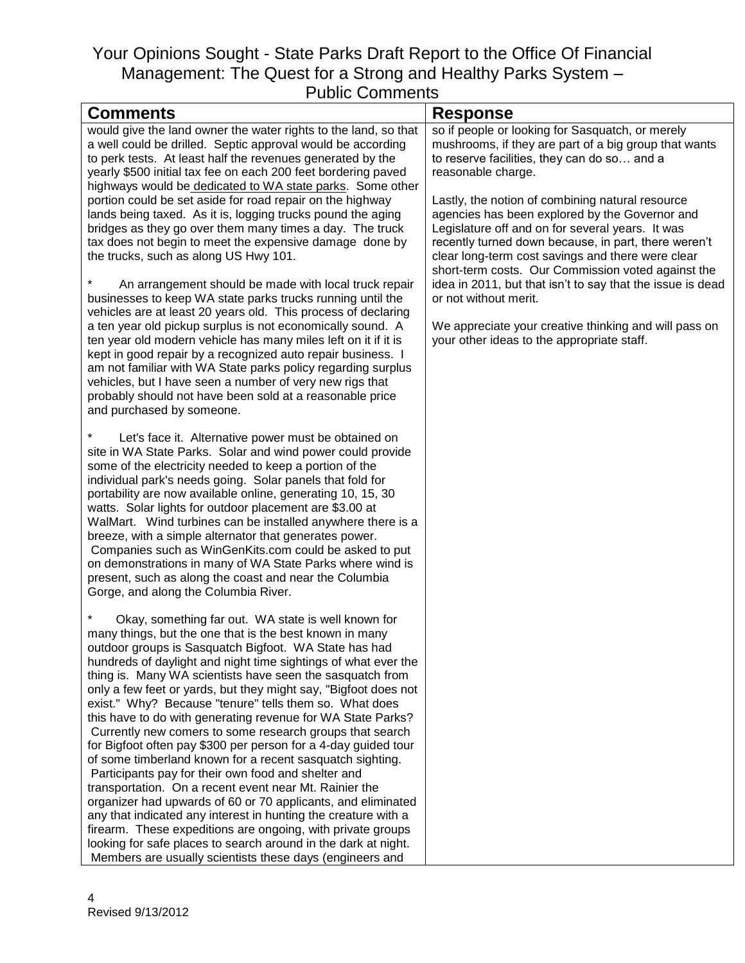| <b>Comments</b>                                                                                                          | <b>Response</b>                                            |
|--------------------------------------------------------------------------------------------------------------------------|------------------------------------------------------------|
| would give the land owner the water rights to the land, so that                                                          | so if people or looking for Sasquatch, or merely           |
| a well could be drilled. Septic approval would be according                                                              | mushrooms, if they are part of a big group that wants      |
| to perk tests. At least half the revenues generated by the                                                               | to reserve facilities, they can do so and a                |
| yearly \$500 initial tax fee on each 200 feet bordering paved                                                            | reasonable charge.                                         |
| highways would be dedicated to WA state parks. Some other                                                                |                                                            |
| portion could be set aside for road repair on the highway                                                                | Lastly, the notion of combining natural resource           |
| lands being taxed. As it is, logging trucks pound the aging                                                              | agencies has been explored by the Governor and             |
| bridges as they go over them many times a day. The truck                                                                 | Legislature off and on for several years. It was           |
| tax does not begin to meet the expensive damage done by                                                                  | recently turned down because, in part, there weren't       |
| the trucks, such as along US Hwy 101.                                                                                    | clear long-term cost savings and there were clear          |
|                                                                                                                          | short-term costs. Our Commission voted against the         |
| An arrangement should be made with local truck repair                                                                    | idea in 2011, but that isn't to say that the issue is dead |
| businesses to keep WA state parks trucks running until the                                                               | or not without merit.                                      |
| vehicles are at least 20 years old. This process of declaring                                                            |                                                            |
| a ten year old pickup surplus is not economically sound. A                                                               | We appreciate your creative thinking and will pass on      |
| ten year old modern vehicle has many miles left on it if it is                                                           | your other ideas to the appropriate staff.                 |
| kept in good repair by a recognized auto repair business. I                                                              |                                                            |
| am not familiar with WA State parks policy regarding surplus<br>vehicles, but I have seen a number of very new rigs that |                                                            |
|                                                                                                                          |                                                            |
| probably should not have been sold at a reasonable price<br>and purchased by someone.                                    |                                                            |
|                                                                                                                          |                                                            |
| Let's face it. Alternative power must be obtained on                                                                     |                                                            |
| site in WA State Parks. Solar and wind power could provide                                                               |                                                            |
| some of the electricity needed to keep a portion of the                                                                  |                                                            |
| individual park's needs going. Solar panels that fold for                                                                |                                                            |
| portability are now available online, generating 10, 15, 30                                                              |                                                            |
| watts. Solar lights for outdoor placement are \$3.00 at                                                                  |                                                            |
| WalMart. Wind turbines can be installed anywhere there is a                                                              |                                                            |
| breeze, with a simple alternator that generates power.                                                                   |                                                            |
| Companies such as WinGenKits.com could be asked to put                                                                   |                                                            |
| on demonstrations in many of WA State Parks where wind is                                                                |                                                            |
| present, such as along the coast and near the Columbia                                                                   |                                                            |
| Gorge, and along the Columbia River.                                                                                     |                                                            |
|                                                                                                                          |                                                            |
| Okay, something far out. WA state is well known for                                                                      |                                                            |
| many things, but the one that is the best known in many                                                                  |                                                            |
| outdoor groups is Sasquatch Bigfoot. WA State has had                                                                    |                                                            |
| hundreds of daylight and night time sightings of what ever the                                                           |                                                            |
| thing is. Many WA scientists have seen the sasquatch from                                                                |                                                            |
| only a few feet or yards, but they might say, "Bigfoot does not                                                          |                                                            |
| exist." Why? Because "tenure" tells them so. What does                                                                   |                                                            |
| this have to do with generating revenue for WA State Parks?                                                              |                                                            |
| Currently new comers to some research groups that search                                                                 |                                                            |
| for Bigfoot often pay \$300 per person for a 4-day guided tour                                                           |                                                            |
| of some timberland known for a recent sasquatch sighting.                                                                |                                                            |
| Participants pay for their own food and shelter and                                                                      |                                                            |
| transportation. On a recent event near Mt. Rainier the                                                                   |                                                            |
| organizer had upwards of 60 or 70 applicants, and eliminated                                                             |                                                            |
| any that indicated any interest in hunting the creature with a                                                           |                                                            |
| firearm. These expeditions are ongoing, with private groups                                                              |                                                            |
| looking for safe places to search around in the dark at night.                                                           |                                                            |
| Members are usually scientists these days (engineers and                                                                 |                                                            |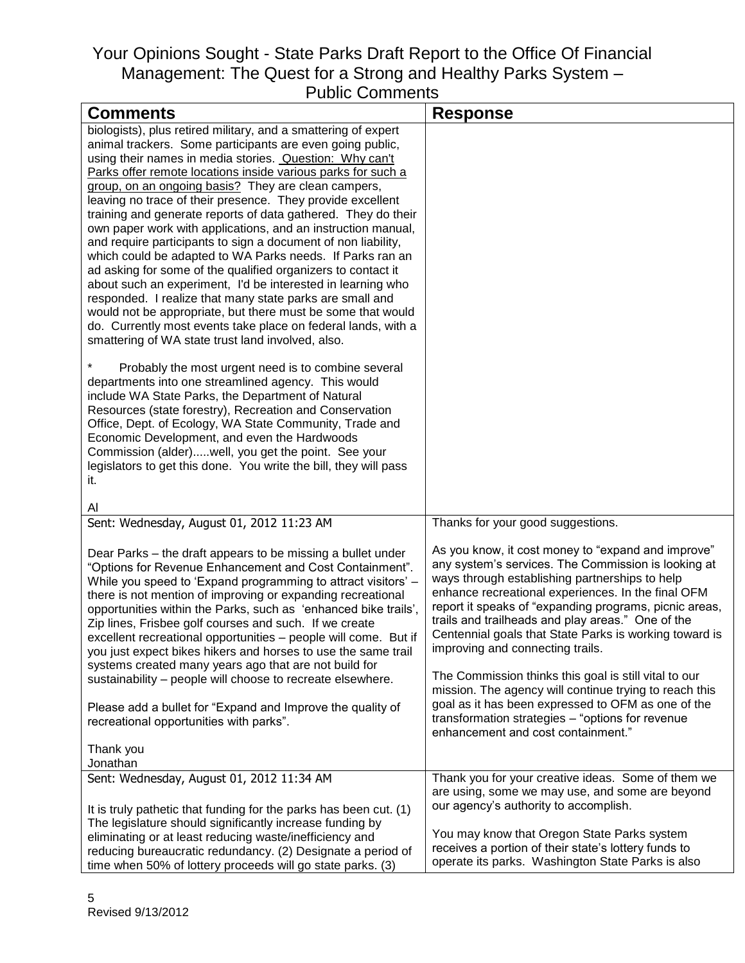| uviiu Oviiiiuuiiu                                                                                                      |                                                        |
|------------------------------------------------------------------------------------------------------------------------|--------------------------------------------------------|
| <b>Comments</b>                                                                                                        | <b>Response</b>                                        |
| biologists), plus retired military, and a smattering of expert                                                         |                                                        |
| animal trackers. Some participants are even going public,                                                              |                                                        |
| using their names in media stories. Question: Why can't                                                                |                                                        |
| Parks offer remote locations inside various parks for such a                                                           |                                                        |
| group, on an ongoing basis? They are clean campers,                                                                    |                                                        |
| leaving no trace of their presence. They provide excellent                                                             |                                                        |
| training and generate reports of data gathered. They do their                                                          |                                                        |
| own paper work with applications, and an instruction manual,                                                           |                                                        |
| and require participants to sign a document of non liability,                                                          |                                                        |
| which could be adapted to WA Parks needs. If Parks ran an                                                              |                                                        |
| ad asking for some of the qualified organizers to contact it                                                           |                                                        |
| about such an experiment, I'd be interested in learning who                                                            |                                                        |
| responded. I realize that many state parks are small and                                                               |                                                        |
| would not be appropriate, but there must be some that would                                                            |                                                        |
| do. Currently most events take place on federal lands, with a                                                          |                                                        |
| smattering of WA state trust land involved, also.                                                                      |                                                        |
|                                                                                                                        |                                                        |
| Probably the most urgent need is to combine several                                                                    |                                                        |
| departments into one streamlined agency. This would                                                                    |                                                        |
| include WA State Parks, the Department of Natural                                                                      |                                                        |
| Resources (state forestry), Recreation and Conservation                                                                |                                                        |
| Office, Dept. of Ecology, WA State Community, Trade and                                                                |                                                        |
| Economic Development, and even the Hardwoods                                                                           |                                                        |
| Commission (alder)well, you get the point. See your                                                                    |                                                        |
| legislators to get this done. You write the bill, they will pass                                                       |                                                        |
| it.                                                                                                                    |                                                        |
|                                                                                                                        |                                                        |
| Al<br>Sent: Wednesday, August 01, 2012 11:23 AM                                                                        | Thanks for your good suggestions.                      |
|                                                                                                                        |                                                        |
|                                                                                                                        | As you know, it cost money to "expand and improve"     |
| Dear Parks – the draft appears to be missing a bullet under<br>"Options for Revenue Enhancement and Cost Containment". | any system's services. The Commission is looking at    |
|                                                                                                                        | ways through establishing partnerships to help         |
| While you speed to 'Expand programming to attract visitors' -                                                          | enhance recreational experiences. In the final OFM     |
| there is not mention of improving or expanding recreational                                                            | report it speaks of "expanding programs, picnic areas, |
| opportunities within the Parks, such as 'enhanced bike trails',                                                        | trails and trailheads and play areas." One of the      |
| Zip lines, Frisbee golf courses and such. If we create                                                                 | Centennial goals that State Parks is working toward is |
| excellent recreational opportunities - people will come. But if                                                        | improving and connecting trails.                       |
| you just expect bikes hikers and horses to use the same trail<br>systems created many years ago that are not build for |                                                        |
| sustainability - people will choose to recreate elsewhere.                                                             | The Commission thinks this goal is still vital to our  |
|                                                                                                                        | mission. The agency will continue trying to reach this |
| Please add a bullet for "Expand and Improve the quality of                                                             | goal as it has been expressed to OFM as one of the     |
| recreational opportunities with parks".                                                                                | transformation strategies - "options for revenue       |
|                                                                                                                        | enhancement and cost containment."                     |
| Thank you                                                                                                              |                                                        |
| Jonathan                                                                                                               |                                                        |
| Sent: Wednesday, August 01, 2012 11:34 AM                                                                              | Thank you for your creative ideas. Some of them we     |
|                                                                                                                        | are using, some we may use, and some are beyond        |
| It is truly pathetic that funding for the parks has been cut. (1)                                                      | our agency's authority to accomplish.                  |
| The legislature should significantly increase funding by                                                               |                                                        |
| eliminating or at least reducing waste/inefficiency and                                                                | You may know that Oregon State Parks system            |
| reducing bureaucratic redundancy. (2) Designate a period of                                                            | receives a portion of their state's lottery funds to   |
| time when 50% of lottery proceeds will go state parks. (3)                                                             | operate its parks. Washington State Parks is also      |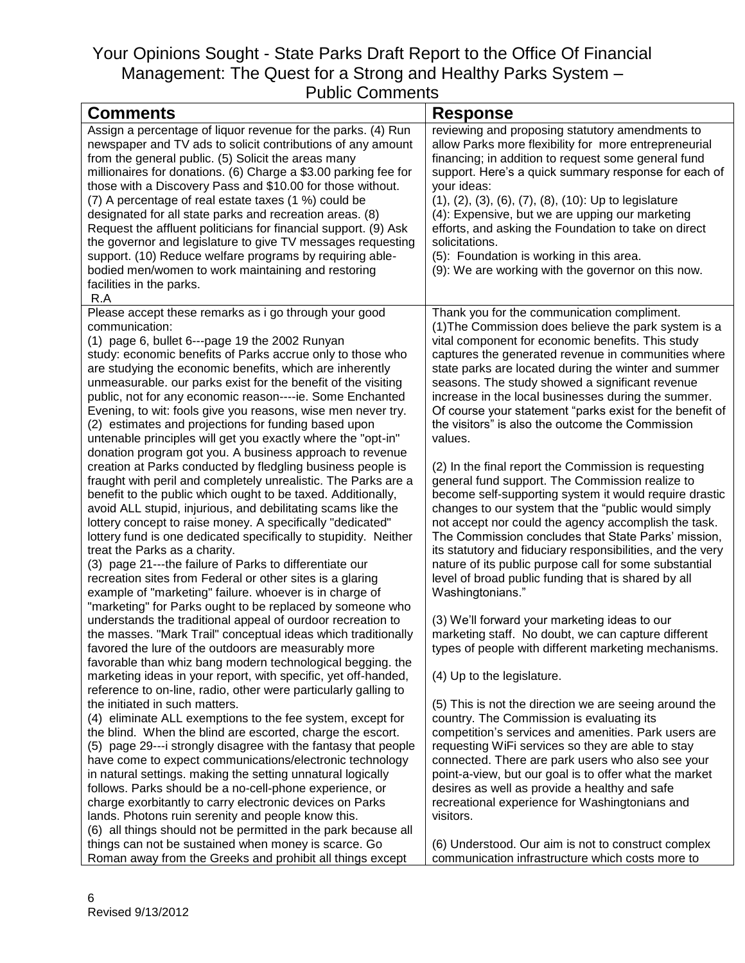| <b>Comments</b>                                                                                                            | <b>Response</b>                                                                                        |
|----------------------------------------------------------------------------------------------------------------------------|--------------------------------------------------------------------------------------------------------|
| Assign a percentage of liquor revenue for the parks. (4) Run                                                               | reviewing and proposing statutory amendments to                                                        |
| newspaper and TV ads to solicit contributions of any amount                                                                | allow Parks more flexibility for more entrepreneurial                                                  |
| from the general public. (5) Solicit the areas many                                                                        | financing; in addition to request some general fund                                                    |
| millionaires for donations. (6) Charge a \$3.00 parking fee for                                                            | support. Here's a quick summary response for each of                                                   |
| those with a Discovery Pass and \$10.00 for those without.                                                                 | your ideas:                                                                                            |
| (7) A percentage of real estate taxes (1 %) could be                                                                       | (1), (2), (3), (6), (7), (8), (10): Up to legislature                                                  |
| designated for all state parks and recreation areas. (8)                                                                   | (4): Expensive, but we are upping our marketing                                                        |
| Request the affluent politicians for financial support. (9) Ask                                                            | efforts, and asking the Foundation to take on direct                                                   |
| the governor and legislature to give TV messages requesting                                                                | solicitations.                                                                                         |
| support. (10) Reduce welfare programs by requiring able-                                                                   | (5): Foundation is working in this area.                                                               |
| bodied men/women to work maintaining and restoring                                                                         | (9): We are working with the governor on this now.                                                     |
| facilities in the parks.                                                                                                   |                                                                                                        |
| R.A                                                                                                                        |                                                                                                        |
| Please accept these remarks as i go through your good                                                                      | Thank you for the communication compliment.                                                            |
| communication:                                                                                                             | (1) The Commission does believe the park system is a                                                   |
| (1) page 6, bullet 6---page 19 the 2002 Runyan                                                                             | vital component for economic benefits. This study                                                      |
| study: economic benefits of Parks accrue only to those who                                                                 | captures the generated revenue in communities where                                                    |
| are studying the economic benefits, which are inherently                                                                   | state parks are located during the winter and summer                                                   |
| unmeasurable. our parks exist for the benefit of the visiting                                                              | seasons. The study showed a significant revenue                                                        |
| public, not for any economic reason----ie. Some Enchanted                                                                  | increase in the local businesses during the summer.                                                    |
| Evening, to wit: fools give you reasons, wise men never try.                                                               | Of course your statement "parks exist for the benefit of                                               |
| (2) estimates and projections for funding based upon                                                                       | the visitors" is also the outcome the Commission                                                       |
| untenable principles will get you exactly where the "opt-in"                                                               | values.                                                                                                |
| donation program got you. A business approach to revenue<br>creation at Parks conducted by fledgling business people is    | (2) In the final report the Commission is requesting                                                   |
| fraught with peril and completely unrealistic. The Parks are a                                                             | general fund support. The Commission realize to                                                        |
| benefit to the public which ought to be taxed. Additionally,                                                               | become self-supporting system it would require drastic                                                 |
| avoid ALL stupid, injurious, and debilitating scams like the                                                               | changes to our system that the "public would simply                                                    |
| lottery concept to raise money. A specifically "dedicated"                                                                 | not accept nor could the agency accomplish the task.                                                   |
| lottery fund is one dedicated specifically to stupidity. Neither                                                           | The Commission concludes that State Parks' mission,                                                    |
| treat the Parks as a charity.                                                                                              | its statutory and fiduciary responsibilities, and the very                                             |
| (3) page 21---the failure of Parks to differentiate our                                                                    | nature of its public purpose call for some substantial                                                 |
| recreation sites from Federal or other sites is a glaring                                                                  | level of broad public funding that is shared by all                                                    |
| example of "marketing" failure. whoever is in charge of                                                                    | Washingtonians."                                                                                       |
| "marketing" for Parks ought to be replaced by someone who                                                                  |                                                                                                        |
| understands the traditional appeal of ourdoor recreation to                                                                | (3) We'll forward your marketing ideas to our                                                          |
| the masses. "Mark Trail" conceptual ideas which traditionally                                                              | marketing staff. No doubt, we can capture different                                                    |
| favored the lure of the outdoors are measurably more                                                                       | types of people with different marketing mechanisms.                                                   |
| favorable than whiz bang modern technological begging. the                                                                 |                                                                                                        |
| marketing ideas in your report, with specific, yet off-handed,                                                             | (4) Up to the legislature.                                                                             |
| reference to on-line, radio, other were particularly galling to                                                            |                                                                                                        |
| the initiated in such matters.                                                                                             | (5) This is not the direction we are seeing around the                                                 |
| (4) eliminate ALL exemptions to the fee system, except for                                                                 | country. The Commission is evaluating its                                                              |
| the blind. When the blind are escorted, charge the escort.                                                                 | competition's services and amenities. Park users are                                                   |
| (5) page 29---i strongly disagree with the fantasy that people<br>have come to expect communications/electronic technology | requesting WiFi services so they are able to stay<br>connected. There are park users who also see your |
| in natural settings. making the setting unnatural logically                                                                | point-a-view, but our goal is to offer what the market                                                 |
| follows. Parks should be a no-cell-phone experience, or                                                                    | desires as well as provide a healthy and safe                                                          |
| charge exorbitantly to carry electronic devices on Parks                                                                   | recreational experience for Washingtonians and                                                         |
| lands. Photons ruin serenity and people know this.                                                                         | visitors.                                                                                              |
| (6) all things should not be permitted in the park because all                                                             |                                                                                                        |
| things can not be sustained when money is scarce. Go                                                                       | (6) Understood. Our aim is not to construct complex                                                    |
| Roman away from the Greeks and prohibit all things except                                                                  | communication infrastructure which costs more to                                                       |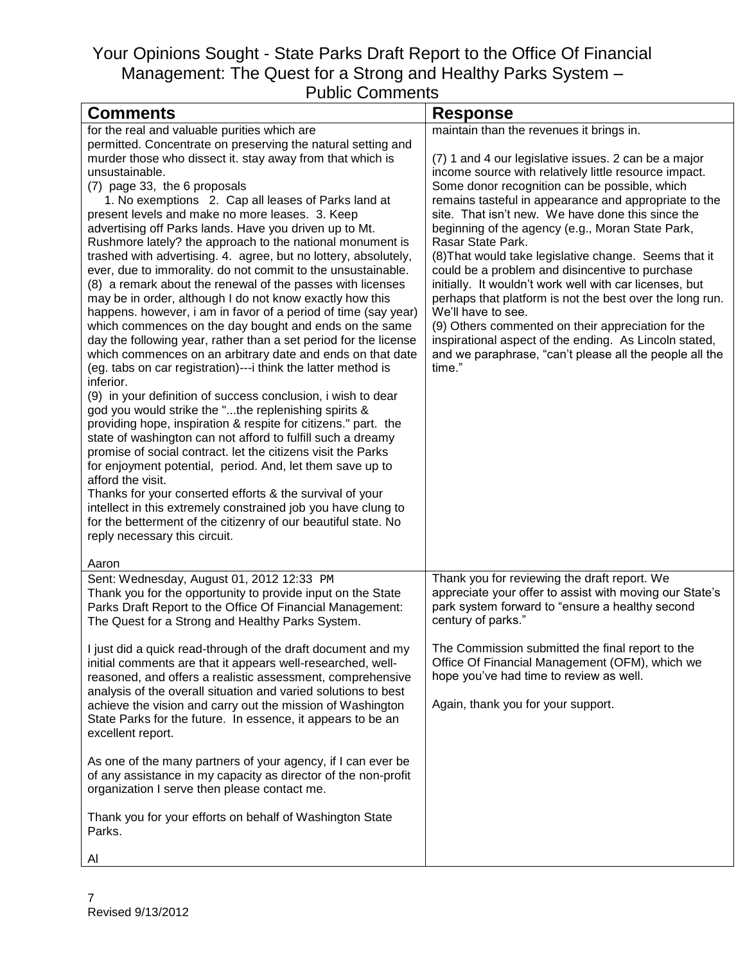| <b>Comments</b>                                                                                                               | <b>Response</b>                                                       |
|-------------------------------------------------------------------------------------------------------------------------------|-----------------------------------------------------------------------|
| for the real and valuable purities which are                                                                                  | maintain than the revenues it brings in.                              |
| permitted. Concentrate on preserving the natural setting and                                                                  |                                                                       |
| murder those who dissect it. stay away from that which is                                                                     | (7) 1 and 4 our legislative issues. 2 can be a major                  |
| unsustainable.                                                                                                                | income source with relatively little resource impact.                 |
| (7) page 33, the 6 proposals                                                                                                  | Some donor recognition can be possible, which                         |
| 1. No exemptions 2. Cap all leases of Parks land at                                                                           | remains tasteful in appearance and appropriate to the                 |
| present levels and make no more leases. 3. Keep                                                                               | site. That isn't new. We have done this since the                     |
| advertising off Parks lands. Have you driven up to Mt.<br>Rushmore lately? the approach to the national monument is           | beginning of the agency (e.g., Moran State Park,<br>Rasar State Park. |
| trashed with advertising. 4. agree, but no lottery, absolutely,                                                               | (8) That would take legislative change. Seems that it                 |
| ever, due to immorality. do not commit to the unsustainable.                                                                  | could be a problem and disincentive to purchase                       |
| (8) a remark about the renewal of the passes with licenses                                                                    | initially. It wouldn't work well with car licenses, but               |
| may be in order, although I do not know exactly how this                                                                      | perhaps that platform is not the best over the long run.              |
| happens. however, i am in favor of a period of time (say year)                                                                | We'll have to see.                                                    |
| which commences on the day bought and ends on the same                                                                        | (9) Others commented on their appreciation for the                    |
| day the following year, rather than a set period for the license                                                              | inspirational aspect of the ending. As Lincoln stated,                |
| which commences on an arbitrary date and ends on that date                                                                    | and we paraphrase, "can't please all the people all the               |
| (eg. tabs on car registration)---i think the latter method is                                                                 | time."                                                                |
| inferior.                                                                                                                     |                                                                       |
| (9) in your definition of success conclusion, i wish to dear                                                                  |                                                                       |
| god you would strike the "the replenishing spirits &                                                                          |                                                                       |
| providing hope, inspiration & respite for citizens." part. the<br>state of washington can not afford to fulfill such a dreamy |                                                                       |
| promise of social contract. let the citizens visit the Parks                                                                  |                                                                       |
| for enjoyment potential, period. And, let them save up to                                                                     |                                                                       |
| afford the visit.                                                                                                             |                                                                       |
| Thanks for your conserted efforts & the survival of your                                                                      |                                                                       |
| intellect in this extremely constrained job you have clung to                                                                 |                                                                       |
| for the betterment of the citizenry of our beautiful state. No                                                                |                                                                       |
| reply necessary this circuit.                                                                                                 |                                                                       |
| Aaron                                                                                                                         |                                                                       |
| Sent: Wednesday, August 01, 2012 12:33 PM                                                                                     | Thank you for reviewing the draft report. We                          |
| Thank you for the opportunity to provide input on the State                                                                   | appreciate your offer to assist with moving our State's               |
| Parks Draft Report to the Office Of Financial Management:                                                                     | park system forward to "ensure a healthy second                       |
| The Quest for a Strong and Healthy Parks System.                                                                              | century of parks."                                                    |
| I just did a quick read-through of the draft document and my                                                                  | The Commission submitted the final report to the                      |
| initial comments are that it appears well-researched, well-                                                                   | Office Of Financial Management (OFM), which we                        |
| reasoned, and offers a realistic assessment, comprehensive                                                                    | hope you've had time to review as well.                               |
| analysis of the overall situation and varied solutions to best                                                                |                                                                       |
| achieve the vision and carry out the mission of Washington                                                                    | Again, thank you for your support.                                    |
| State Parks for the future. In essence, it appears to be an                                                                   |                                                                       |
| excellent report.                                                                                                             |                                                                       |
| As one of the many partners of your agency, if I can ever be                                                                  |                                                                       |
| of any assistance in my capacity as director of the non-profit                                                                |                                                                       |
| organization I serve then please contact me.                                                                                  |                                                                       |
|                                                                                                                               |                                                                       |
| Thank you for your efforts on behalf of Washington State                                                                      |                                                                       |
| Parks.                                                                                                                        |                                                                       |
| ΑI                                                                                                                            |                                                                       |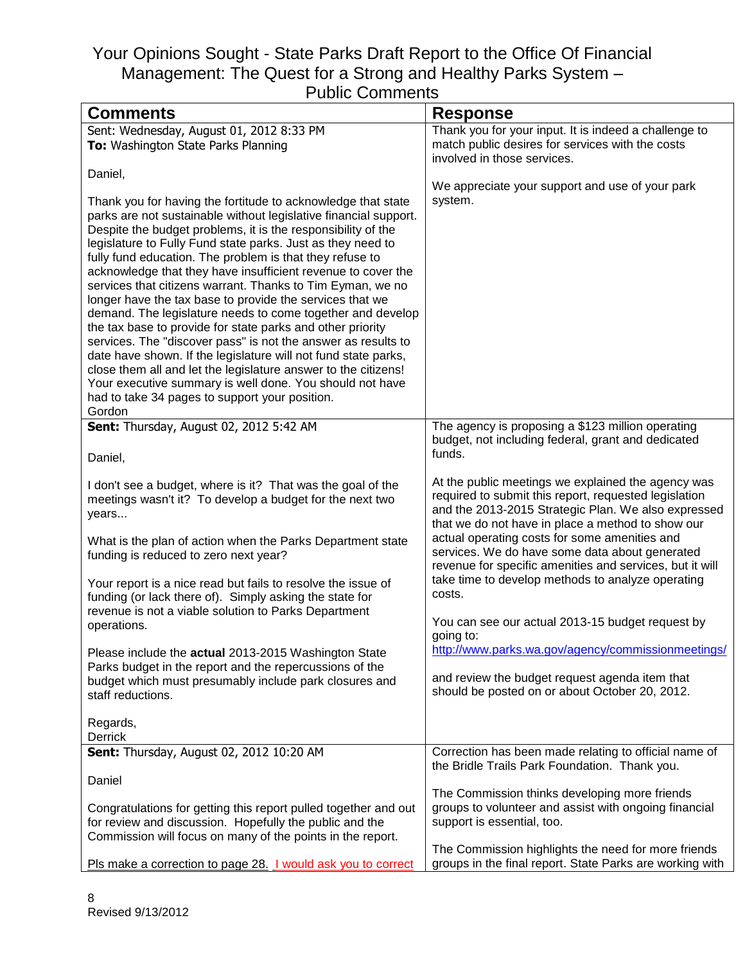| <b>Comments</b>                                                                                                                                                                                                                                                                                                                                                                                                                                                                                                                                                                                                                                                                                                                                                                                                                                                                                                                                                                | <b>Response</b>                                                                                                                                                                                                                                                                                                                                                                                                                                       |
|--------------------------------------------------------------------------------------------------------------------------------------------------------------------------------------------------------------------------------------------------------------------------------------------------------------------------------------------------------------------------------------------------------------------------------------------------------------------------------------------------------------------------------------------------------------------------------------------------------------------------------------------------------------------------------------------------------------------------------------------------------------------------------------------------------------------------------------------------------------------------------------------------------------------------------------------------------------------------------|-------------------------------------------------------------------------------------------------------------------------------------------------------------------------------------------------------------------------------------------------------------------------------------------------------------------------------------------------------------------------------------------------------------------------------------------------------|
| Sent: Wednesday, August 01, 2012 8:33 PM<br>To: Washington State Parks Planning                                                                                                                                                                                                                                                                                                                                                                                                                                                                                                                                                                                                                                                                                                                                                                                                                                                                                                | Thank you for your input. It is indeed a challenge to<br>match public desires for services with the costs<br>involved in those services.                                                                                                                                                                                                                                                                                                              |
| Daniel,                                                                                                                                                                                                                                                                                                                                                                                                                                                                                                                                                                                                                                                                                                                                                                                                                                                                                                                                                                        | We appreciate your support and use of your park                                                                                                                                                                                                                                                                                                                                                                                                       |
| Thank you for having the fortitude to acknowledge that state<br>parks are not sustainable without legislative financial support.<br>Despite the budget problems, it is the responsibility of the<br>legislature to Fully Fund state parks. Just as they need to<br>fully fund education. The problem is that they refuse to<br>acknowledge that they have insufficient revenue to cover the<br>services that citizens warrant. Thanks to Tim Eyman, we no<br>longer have the tax base to provide the services that we<br>demand. The legislature needs to come together and develop<br>the tax base to provide for state parks and other priority<br>services. The "discover pass" is not the answer as results to<br>date have shown. If the legislature will not fund state parks,<br>close them all and let the legislature answer to the citizens!<br>Your executive summary is well done. You should not have<br>had to take 34 pages to support your position.<br>Gordon | system.                                                                                                                                                                                                                                                                                                                                                                                                                                               |
| <b>Sent:</b> Thursday, August 02, 2012 5:42 AM                                                                                                                                                                                                                                                                                                                                                                                                                                                                                                                                                                                                                                                                                                                                                                                                                                                                                                                                 | The agency is proposing a \$123 million operating<br>budget, not including federal, grant and dedicated                                                                                                                                                                                                                                                                                                                                               |
| Daniel,                                                                                                                                                                                                                                                                                                                                                                                                                                                                                                                                                                                                                                                                                                                                                                                                                                                                                                                                                                        | funds.                                                                                                                                                                                                                                                                                                                                                                                                                                                |
| I don't see a budget, where is it? That was the goal of the<br>meetings wasn't it? To develop a budget for the next two<br>years<br>What is the plan of action when the Parks Department state<br>funding is reduced to zero next year?<br>Your report is a nice read but fails to resolve the issue of<br>funding (or lack there of). Simply asking the state for                                                                                                                                                                                                                                                                                                                                                                                                                                                                                                                                                                                                             | At the public meetings we explained the agency was<br>required to submit this report, requested legislation<br>and the 2013-2015 Strategic Plan. We also expressed<br>that we do not have in place a method to show our<br>actual operating costs for some amenities and<br>services. We do have some data about generated<br>revenue for specific amenities and services, but it will<br>take time to develop methods to analyze operating<br>costs. |
| revenue is not a viable solution to Parks Department<br>operations.                                                                                                                                                                                                                                                                                                                                                                                                                                                                                                                                                                                                                                                                                                                                                                                                                                                                                                            | You can see our actual 2013-15 budget request by<br>going to:                                                                                                                                                                                                                                                                                                                                                                                         |
| Please include the actual 2013-2015 Washington State<br>Parks budget in the report and the repercussions of the<br>budget which must presumably include park closures and<br>staff reductions.                                                                                                                                                                                                                                                                                                                                                                                                                                                                                                                                                                                                                                                                                                                                                                                 | http://www.parks.wa.gov/agency/commissionmeetings/<br>and review the budget request agenda item that<br>should be posted on or about October 20, 2012.                                                                                                                                                                                                                                                                                                |
| Regards,<br>Derrick                                                                                                                                                                                                                                                                                                                                                                                                                                                                                                                                                                                                                                                                                                                                                                                                                                                                                                                                                            |                                                                                                                                                                                                                                                                                                                                                                                                                                                       |
| Sent: Thursday, August 02, 2012 10:20 AM                                                                                                                                                                                                                                                                                                                                                                                                                                                                                                                                                                                                                                                                                                                                                                                                                                                                                                                                       | Correction has been made relating to official name of<br>the Bridle Trails Park Foundation. Thank you.                                                                                                                                                                                                                                                                                                                                                |
| Daniel                                                                                                                                                                                                                                                                                                                                                                                                                                                                                                                                                                                                                                                                                                                                                                                                                                                                                                                                                                         | The Commission thinks developing more friends                                                                                                                                                                                                                                                                                                                                                                                                         |
| Congratulations for getting this report pulled together and out<br>for review and discussion. Hopefully the public and the<br>Commission will focus on many of the points in the report.                                                                                                                                                                                                                                                                                                                                                                                                                                                                                                                                                                                                                                                                                                                                                                                       | groups to volunteer and assist with ongoing financial<br>support is essential, too.                                                                                                                                                                                                                                                                                                                                                                   |
| Pls make a correction to page 28. I would ask you to correct                                                                                                                                                                                                                                                                                                                                                                                                                                                                                                                                                                                                                                                                                                                                                                                                                                                                                                                   | The Commission highlights the need for more friends<br>groups in the final report. State Parks are working with                                                                                                                                                                                                                                                                                                                                       |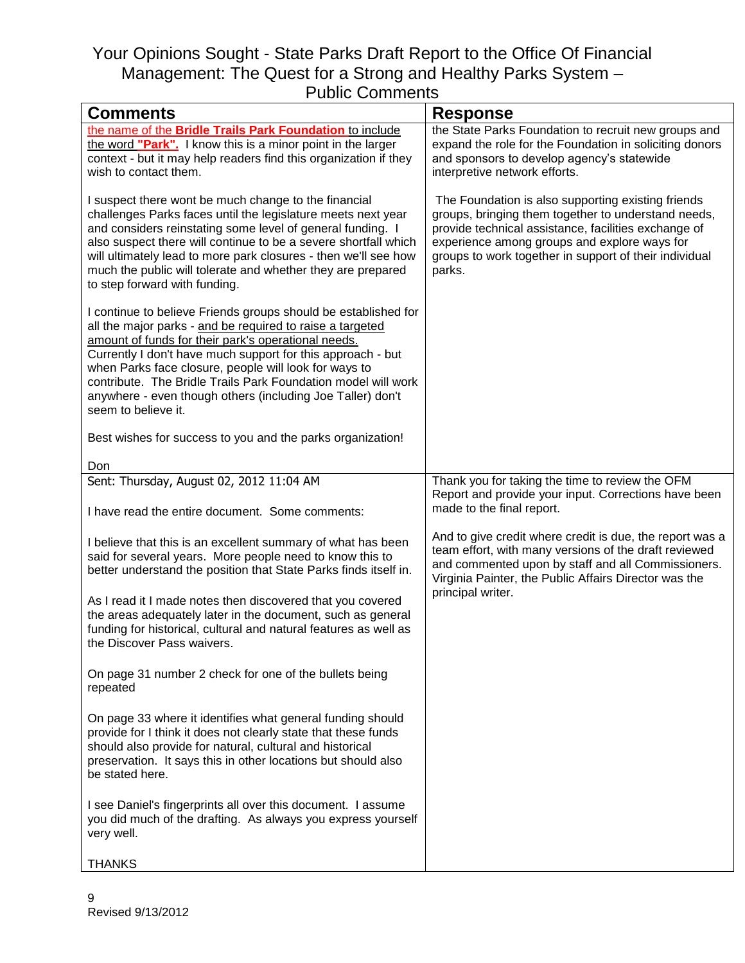| uwiio Oommonia<br><b>Comments</b>                                                                                                                                                                                                                                                                                                                                                                                                                                | <b>Response</b>                                                                                                                                                                                                                                                                       |
|------------------------------------------------------------------------------------------------------------------------------------------------------------------------------------------------------------------------------------------------------------------------------------------------------------------------------------------------------------------------------------------------------------------------------------------------------------------|---------------------------------------------------------------------------------------------------------------------------------------------------------------------------------------------------------------------------------------------------------------------------------------|
|                                                                                                                                                                                                                                                                                                                                                                                                                                                                  |                                                                                                                                                                                                                                                                                       |
| the name of the Bridle Trails Park Foundation to include<br>the word "Park". I know this is a minor point in the larger<br>context - but it may help readers find this organization if they<br>wish to contact them.                                                                                                                                                                                                                                             | the State Parks Foundation to recruit new groups and<br>expand the role for the Foundation in soliciting donors<br>and sponsors to develop agency's statewide<br>interpretive network efforts.                                                                                        |
| I suspect there wont be much change to the financial<br>challenges Parks faces until the legislature meets next year<br>and considers reinstating some level of general funding. I<br>also suspect there will continue to be a severe shortfall which<br>will ultimately lead to more park closures - then we'll see how<br>much the public will tolerate and whether they are prepared<br>to step forward with funding.                                         | The Foundation is also supporting existing friends<br>groups, bringing them together to understand needs,<br>provide technical assistance, facilities exchange of<br>experience among groups and explore ways for<br>groups to work together in support of their individual<br>parks. |
| I continue to believe Friends groups should be established for<br>all the major parks - and be required to raise a targeted<br>amount of funds for their park's operational needs.<br>Currently I don't have much support for this approach - but<br>when Parks face closure, people will look for ways to<br>contribute. The Bridle Trails Park Foundation model will work<br>anywhere - even though others (including Joe Taller) don't<br>seem to believe it. |                                                                                                                                                                                                                                                                                       |
| Best wishes for success to you and the parks organization!                                                                                                                                                                                                                                                                                                                                                                                                       |                                                                                                                                                                                                                                                                                       |
| Don                                                                                                                                                                                                                                                                                                                                                                                                                                                              |                                                                                                                                                                                                                                                                                       |
| Sent: Thursday, August 02, 2012 11:04 AM<br>I have read the entire document. Some comments:                                                                                                                                                                                                                                                                                                                                                                      | Thank you for taking the time to review the OFM<br>Report and provide your input. Corrections have been<br>made to the final report.                                                                                                                                                  |
| I believe that this is an excellent summary of what has been<br>said for several years. More people need to know this to<br>better understand the position that State Parks finds itself in.                                                                                                                                                                                                                                                                     | And to give credit where credit is due, the report was a<br>team effort, with many versions of the draft reviewed<br>and commented upon by staff and all Commissioners.<br>Virginia Painter, the Public Affairs Director was the                                                      |
| As I read it I made notes then discovered that you covered<br>the areas adequately later in the document, such as general<br>funding for historical, cultural and natural features as well as<br>the Discover Pass waivers.                                                                                                                                                                                                                                      | principal writer.                                                                                                                                                                                                                                                                     |
| On page 31 number 2 check for one of the bullets being<br>repeated                                                                                                                                                                                                                                                                                                                                                                                               |                                                                                                                                                                                                                                                                                       |
| On page 33 where it identifies what general funding should<br>provide for I think it does not clearly state that these funds<br>should also provide for natural, cultural and historical<br>preservation. It says this in other locations but should also<br>be stated here.                                                                                                                                                                                     |                                                                                                                                                                                                                                                                                       |
| I see Daniel's fingerprints all over this document. I assume<br>you did much of the drafting. As always you express yourself<br>very well.                                                                                                                                                                                                                                                                                                                       |                                                                                                                                                                                                                                                                                       |
| <b>THANKS</b>                                                                                                                                                                                                                                                                                                                                                                                                                                                    |                                                                                                                                                                                                                                                                                       |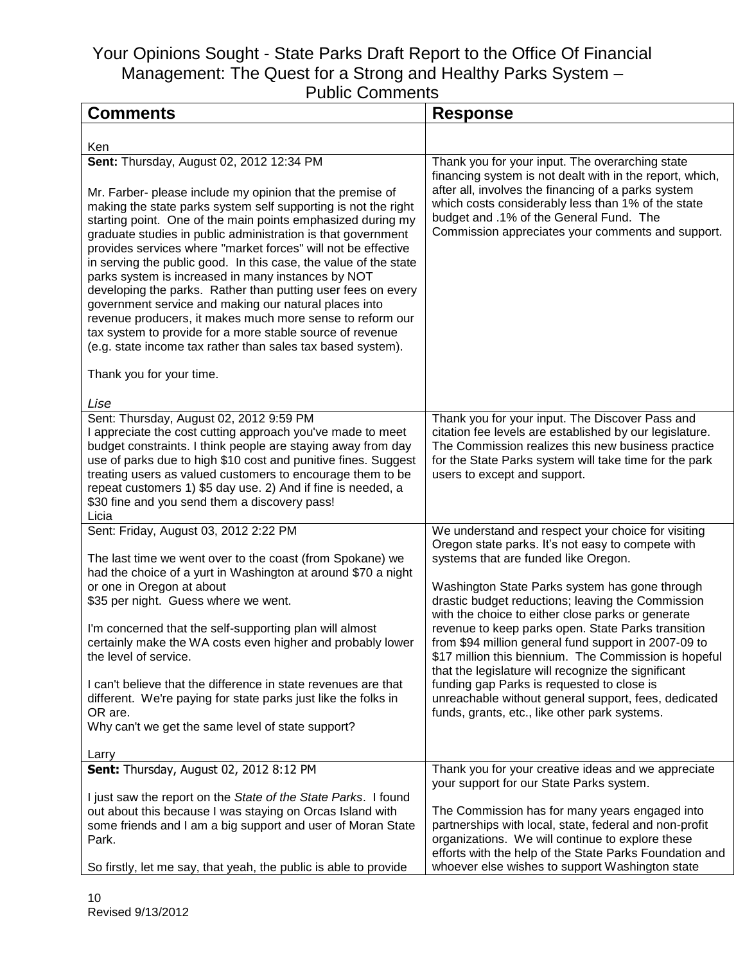| uviiu Oviiiiuuiiu<br><b>Comments</b>                                                                                                                                                                                                                                                                                                                                                                                                                                                                                                                                                                                                                                                                                                                                                                                | <b>Response</b>                                                                                                                                                                                                                                                                                                                                                                                                                                                                                                                                                                                                                                                                                  |
|---------------------------------------------------------------------------------------------------------------------------------------------------------------------------------------------------------------------------------------------------------------------------------------------------------------------------------------------------------------------------------------------------------------------------------------------------------------------------------------------------------------------------------------------------------------------------------------------------------------------------------------------------------------------------------------------------------------------------------------------------------------------------------------------------------------------|--------------------------------------------------------------------------------------------------------------------------------------------------------------------------------------------------------------------------------------------------------------------------------------------------------------------------------------------------------------------------------------------------------------------------------------------------------------------------------------------------------------------------------------------------------------------------------------------------------------------------------------------------------------------------------------------------|
|                                                                                                                                                                                                                                                                                                                                                                                                                                                                                                                                                                                                                                                                                                                                                                                                                     |                                                                                                                                                                                                                                                                                                                                                                                                                                                                                                                                                                                                                                                                                                  |
| Ken                                                                                                                                                                                                                                                                                                                                                                                                                                                                                                                                                                                                                                                                                                                                                                                                                 |                                                                                                                                                                                                                                                                                                                                                                                                                                                                                                                                                                                                                                                                                                  |
| Sent: Thursday, August 02, 2012 12:34 PM<br>Mr. Farber- please include my opinion that the premise of<br>making the state parks system self supporting is not the right<br>starting point. One of the main points emphasized during my<br>graduate studies in public administration is that government<br>provides services where "market forces" will not be effective<br>in serving the public good. In this case, the value of the state<br>parks system is increased in many instances by NOT<br>developing the parks. Rather than putting user fees on every<br>government service and making our natural places into<br>revenue producers, it makes much more sense to reform our<br>tax system to provide for a more stable source of revenue<br>(e.g. state income tax rather than sales tax based system). | Thank you for your input. The overarching state<br>financing system is not dealt with in the report, which,<br>after all, involves the financing of a parks system<br>which costs considerably less than 1% of the state<br>budget and .1% of the General Fund. The<br>Commission appreciates your comments and support.                                                                                                                                                                                                                                                                                                                                                                         |
| Thank you for your time.                                                                                                                                                                                                                                                                                                                                                                                                                                                                                                                                                                                                                                                                                                                                                                                            |                                                                                                                                                                                                                                                                                                                                                                                                                                                                                                                                                                                                                                                                                                  |
| Lise<br>Sent: Thursday, August 02, 2012 9:59 PM<br>I appreciate the cost cutting approach you've made to meet<br>budget constraints. I think people are staying away from day<br>use of parks due to high \$10 cost and punitive fines. Suggest<br>treating users as valued customers to encourage them to be<br>repeat customers 1) \$5 day use. 2) And if fine is needed, a<br>\$30 fine and you send them a discovery pass!<br>Licia                                                                                                                                                                                                                                                                                                                                                                             | Thank you for your input. The Discover Pass and<br>citation fee levels are established by our legislature.<br>The Commission realizes this new business practice<br>for the State Parks system will take time for the park<br>users to except and support.                                                                                                                                                                                                                                                                                                                                                                                                                                       |
| Sent: Friday, August 03, 2012 2:22 PM<br>The last time we went over to the coast (from Spokane) we<br>had the choice of a yurt in Washington at around \$70 a night<br>or one in Oregon at about<br>\$35 per night. Guess where we went.<br>I'm concerned that the self-supporting plan will almost<br>certainly make the WA costs even higher and probably lower<br>the level of service.<br>I can't believe that the difference in state revenues are that<br>different. We're paying for state parks just like the folks in<br>OR are.<br>Why can't we get the same level of state support?<br>Larry                                                                                                                                                                                                             | We understand and respect your choice for visiting<br>Oregon state parks. It's not easy to compete with<br>systems that are funded like Oregon.<br>Washington State Parks system has gone through<br>drastic budget reductions; leaving the Commission<br>with the choice to either close parks or generate<br>revenue to keep parks open. State Parks transition<br>from \$94 million general fund support in 2007-09 to<br>\$17 million this biennium. The Commission is hopeful<br>that the legislature will recognize the significant<br>funding gap Parks is requested to close is<br>unreachable without general support, fees, dedicated<br>funds, grants, etc., like other park systems. |
| Sent: Thursday, August 02, 2012 8:12 PM<br>I just saw the report on the State of the State Parks. I found<br>out about this because I was staying on Orcas Island with<br>some friends and I am a big support and user of Moran State<br>Park.<br>So firstly, let me say, that yeah, the public is able to provide                                                                                                                                                                                                                                                                                                                                                                                                                                                                                                  | Thank you for your creative ideas and we appreciate<br>your support for our State Parks system.<br>The Commission has for many years engaged into<br>partnerships with local, state, federal and non-profit<br>organizations. We will continue to explore these<br>efforts with the help of the State Parks Foundation and<br>whoever else wishes to support Washington state                                                                                                                                                                                                                                                                                                                    |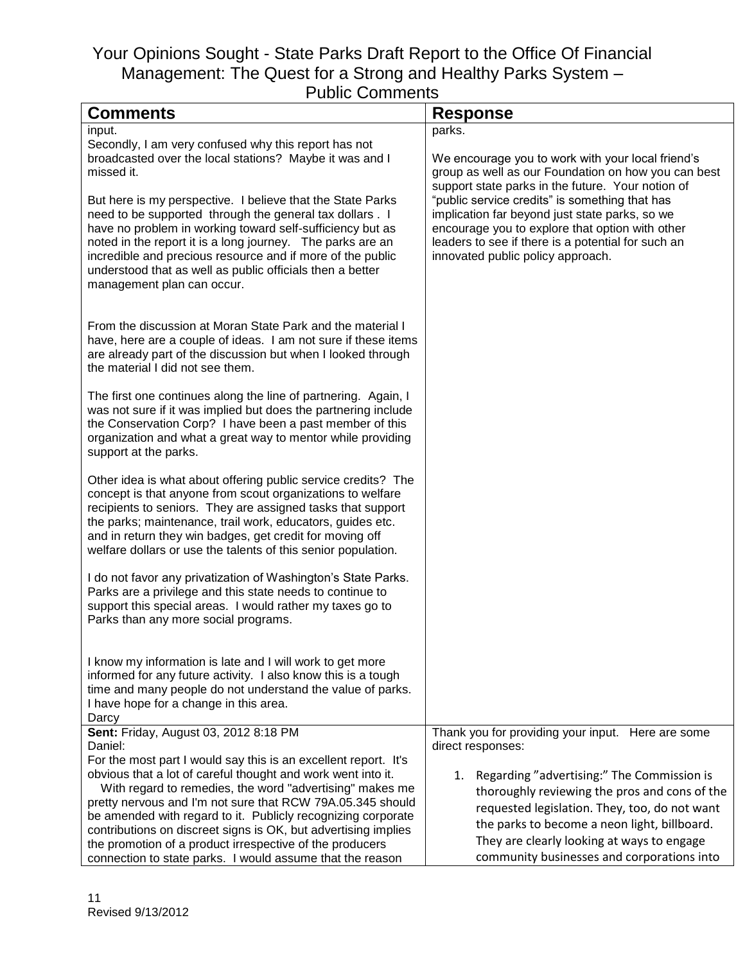| <b>Comments</b>                                                                                                                                                                                                                                                                                                                                                                                           | <b>Response</b>                                                                                                                                                                                                                                |
|-----------------------------------------------------------------------------------------------------------------------------------------------------------------------------------------------------------------------------------------------------------------------------------------------------------------------------------------------------------------------------------------------------------|------------------------------------------------------------------------------------------------------------------------------------------------------------------------------------------------------------------------------------------------|
| input.                                                                                                                                                                                                                                                                                                                                                                                                    | parks.                                                                                                                                                                                                                                         |
| Secondly, I am very confused why this report has not<br>broadcasted over the local stations? Maybe it was and I<br>missed it.                                                                                                                                                                                                                                                                             | We encourage you to work with your local friend's<br>group as well as our Foundation on how you can best<br>support state parks in the future. Your notion of                                                                                  |
| But here is my perspective. I believe that the State Parks<br>need to be supported through the general tax dollars. I<br>have no problem in working toward self-sufficiency but as<br>noted in the report it is a long journey. The parks are an<br>incredible and precious resource and if more of the public<br>understood that as well as public officials then a better<br>management plan can occur. | "public service credits" is something that has<br>implication far beyond just state parks, so we<br>encourage you to explore that option with other<br>leaders to see if there is a potential for such an<br>innovated public policy approach. |
| From the discussion at Moran State Park and the material I<br>have, here are a couple of ideas. I am not sure if these items<br>are already part of the discussion but when I looked through<br>the material I did not see them.                                                                                                                                                                          |                                                                                                                                                                                                                                                |
| The first one continues along the line of partnering. Again, I<br>was not sure if it was implied but does the partnering include<br>the Conservation Corp? I have been a past member of this<br>organization and what a great way to mentor while providing<br>support at the parks.                                                                                                                      |                                                                                                                                                                                                                                                |
| Other idea is what about offering public service credits? The<br>concept is that anyone from scout organizations to welfare<br>recipients to seniors. They are assigned tasks that support<br>the parks; maintenance, trail work, educators, guides etc.<br>and in return they win badges, get credit for moving off<br>welfare dollars or use the talents of this senior population.                     |                                                                                                                                                                                                                                                |
| I do not favor any privatization of Washington's State Parks.<br>Parks are a privilege and this state needs to continue to<br>support this special areas. I would rather my taxes go to<br>Parks than any more social programs.                                                                                                                                                                           |                                                                                                                                                                                                                                                |
| I know my information is late and I will work to get more<br>informed for any future activity. I also know this is a tough<br>time and many people do not understand the value of parks.<br>I have hope for a change in this area.<br>Darcy                                                                                                                                                               |                                                                                                                                                                                                                                                |
| Sent: Friday, August 03, 2012 8:18 PM                                                                                                                                                                                                                                                                                                                                                                     | Thank you for providing your input. Here are some                                                                                                                                                                                              |
| Daniel:                                                                                                                                                                                                                                                                                                                                                                                                   | direct responses:                                                                                                                                                                                                                              |
| For the most part I would say this is an excellent report. It's<br>obvious that a lot of careful thought and work went into it.                                                                                                                                                                                                                                                                           |                                                                                                                                                                                                                                                |
| With regard to remedies, the word "advertising" makes me                                                                                                                                                                                                                                                                                                                                                  | 1. Regarding "advertising:" The Commission is<br>thoroughly reviewing the pros and cons of the                                                                                                                                                 |
| pretty nervous and I'm not sure that RCW 79A.05.345 should                                                                                                                                                                                                                                                                                                                                                |                                                                                                                                                                                                                                                |
| be amended with regard to it. Publicly recognizing corporate                                                                                                                                                                                                                                                                                                                                              | requested legislation. They, too, do not want<br>the parks to become a neon light, billboard.                                                                                                                                                  |
| contributions on discreet signs is OK, but advertising implies                                                                                                                                                                                                                                                                                                                                            | They are clearly looking at ways to engage                                                                                                                                                                                                     |
| the promotion of a product irrespective of the producers                                                                                                                                                                                                                                                                                                                                                  | community businesses and corporations into                                                                                                                                                                                                     |
| connection to state parks. I would assume that the reason                                                                                                                                                                                                                                                                                                                                                 |                                                                                                                                                                                                                                                |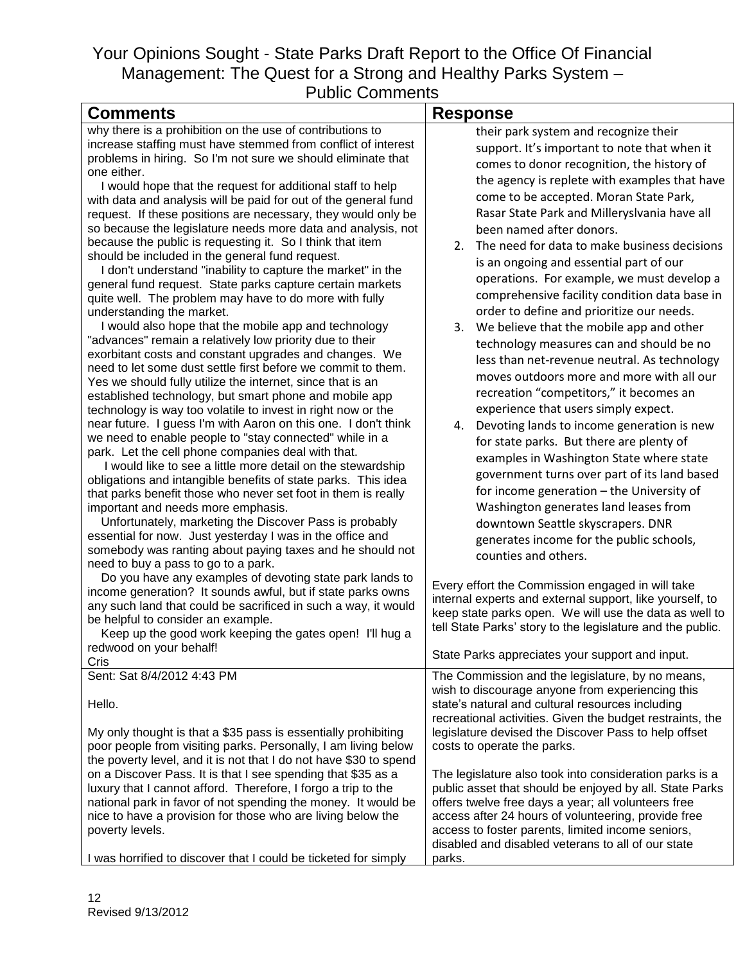| <b>Comments</b>                                                                                                                                                                                                                                                                                                                                                                                                                                                                                                                                                                                                                                                                                                                                                                                                                                                                                                                                                                                                                                                                                                                                                                                                                                                                                                                                                                                                                                                                                                                                                                                                                                                                                                                                                                                                                                                                                                                                                                                                                                                                                                                                                                                                                     | <b>Response</b>                                                                                                                                                                                                                                                                                                                                                                                                                                                                                                                                                                                                                                                                                                                                                                                                                                                                                                                                                                                                                                                                                                                                                                                                                                                                                                                                                                                                                                                          |
|-------------------------------------------------------------------------------------------------------------------------------------------------------------------------------------------------------------------------------------------------------------------------------------------------------------------------------------------------------------------------------------------------------------------------------------------------------------------------------------------------------------------------------------------------------------------------------------------------------------------------------------------------------------------------------------------------------------------------------------------------------------------------------------------------------------------------------------------------------------------------------------------------------------------------------------------------------------------------------------------------------------------------------------------------------------------------------------------------------------------------------------------------------------------------------------------------------------------------------------------------------------------------------------------------------------------------------------------------------------------------------------------------------------------------------------------------------------------------------------------------------------------------------------------------------------------------------------------------------------------------------------------------------------------------------------------------------------------------------------------------------------------------------------------------------------------------------------------------------------------------------------------------------------------------------------------------------------------------------------------------------------------------------------------------------------------------------------------------------------------------------------------------------------------------------------------------------------------------------------|--------------------------------------------------------------------------------------------------------------------------------------------------------------------------------------------------------------------------------------------------------------------------------------------------------------------------------------------------------------------------------------------------------------------------------------------------------------------------------------------------------------------------------------------------------------------------------------------------------------------------------------------------------------------------------------------------------------------------------------------------------------------------------------------------------------------------------------------------------------------------------------------------------------------------------------------------------------------------------------------------------------------------------------------------------------------------------------------------------------------------------------------------------------------------------------------------------------------------------------------------------------------------------------------------------------------------------------------------------------------------------------------------------------------------------------------------------------------------|
| why there is a prohibition on the use of contributions to<br>increase staffing must have stemmed from conflict of interest<br>problems in hiring. So I'm not sure we should eliminate that<br>one either.<br>I would hope that the request for additional staff to help<br>with data and analysis will be paid for out of the general fund<br>request. If these positions are necessary, they would only be<br>so because the legislature needs more data and analysis, not<br>because the public is requesting it. So I think that item<br>should be included in the general fund request.<br>I don't understand "inability to capture the market" in the<br>general fund request. State parks capture certain markets<br>quite well. The problem may have to do more with fully<br>understanding the market.<br>I would also hope that the mobile app and technology<br>"advances" remain a relatively low priority due to their<br>exorbitant costs and constant upgrades and changes. We<br>need to let some dust settle first before we commit to them.<br>Yes we should fully utilize the internet, since that is an<br>established technology, but smart phone and mobile app<br>technology is way too volatile to invest in right now or the<br>near future. I guess I'm with Aaron on this one. I don't think<br>we need to enable people to "stay connected" while in a<br>park. Let the cell phone companies deal with that.<br>I would like to see a little more detail on the stewardship<br>obligations and intangible benefits of state parks. This idea<br>that parks benefit those who never set foot in them is really<br>important and needs more emphasis.<br>Unfortunately, marketing the Discover Pass is probably<br>essential for now. Just yesterday I was in the office and<br>somebody was ranting about paying taxes and he should not<br>need to buy a pass to go to a park.<br>Do you have any examples of devoting state park lands to<br>income generation? It sounds awful, but if state parks owns<br>any such land that could be sacrificed in such a way, it would<br>be helpful to consider an example.<br>Keep up the good work keeping the gates open! I'll hug a<br>redwood on your behalf! | their park system and recognize their<br>support. It's important to note that when it<br>comes to donor recognition, the history of<br>the agency is replete with examples that have<br>come to be accepted. Moran State Park,<br>Rasar State Park and Milleryslvania have all<br>been named after donors.<br>The need for data to make business decisions<br>2.<br>is an ongoing and essential part of our<br>operations. For example, we must develop a<br>comprehensive facility condition data base in<br>order to define and prioritize our needs.<br>3.<br>We believe that the mobile app and other<br>technology measures can and should be no<br>less than net-revenue neutral. As technology<br>moves outdoors more and more with all our<br>recreation "competitors," it becomes an<br>experience that users simply expect.<br>Devoting lands to income generation is new<br>4.<br>for state parks. But there are plenty of<br>examples in Washington State where state<br>government turns over part of its land based<br>for income generation - the University of<br>Washington generates land leases from<br>downtown Seattle skyscrapers. DNR<br>generates income for the public schools,<br>counties and others.<br>Every effort the Commission engaged in will take<br>internal experts and external support, like yourself, to<br>keep state parks open. We will use the data as well to<br>tell State Parks' story to the legislature and the public. |
| Cris                                                                                                                                                                                                                                                                                                                                                                                                                                                                                                                                                                                                                                                                                                                                                                                                                                                                                                                                                                                                                                                                                                                                                                                                                                                                                                                                                                                                                                                                                                                                                                                                                                                                                                                                                                                                                                                                                                                                                                                                                                                                                                                                                                                                                                | State Parks appreciates your support and input.                                                                                                                                                                                                                                                                                                                                                                                                                                                                                                                                                                                                                                                                                                                                                                                                                                                                                                                                                                                                                                                                                                                                                                                                                                                                                                                                                                                                                          |
| Sent: Sat 8/4/2012 4:43 PM<br>Hello.<br>My only thought is that a \$35 pass is essentially prohibiting<br>poor people from visiting parks. Personally, I am living below<br>the poverty level, and it is not that I do not have \$30 to spend<br>on a Discover Pass. It is that I see spending that \$35 as a<br>luxury that I cannot afford. Therefore, I forgo a trip to the<br>national park in favor of not spending the money. It would be<br>nice to have a provision for those who are living below the<br>poverty levels.                                                                                                                                                                                                                                                                                                                                                                                                                                                                                                                                                                                                                                                                                                                                                                                                                                                                                                                                                                                                                                                                                                                                                                                                                                                                                                                                                                                                                                                                                                                                                                                                                                                                                                   | The Commission and the legislature, by no means,<br>wish to discourage anyone from experiencing this<br>state's natural and cultural resources including<br>recreational activities. Given the budget restraints, the<br>legislature devised the Discover Pass to help offset<br>costs to operate the parks.<br>The legislature also took into consideration parks is a<br>public asset that should be enjoyed by all. State Parks<br>offers twelve free days a year; all volunteers free<br>access after 24 hours of volunteering, provide free<br>access to foster parents, limited income seniors,<br>disabled and disabled veterans to all of our state                                                                                                                                                                                                                                                                                                                                                                                                                                                                                                                                                                                                                                                                                                                                                                                                              |
| I was horrified to discover that I could be ticketed for simply                                                                                                                                                                                                                                                                                                                                                                                                                                                                                                                                                                                                                                                                                                                                                                                                                                                                                                                                                                                                                                                                                                                                                                                                                                                                                                                                                                                                                                                                                                                                                                                                                                                                                                                                                                                                                                                                                                                                                                                                                                                                                                                                                                     | parks.                                                                                                                                                                                                                                                                                                                                                                                                                                                                                                                                                                                                                                                                                                                                                                                                                                                                                                                                                                                                                                                                                                                                                                                                                                                                                                                                                                                                                                                                   |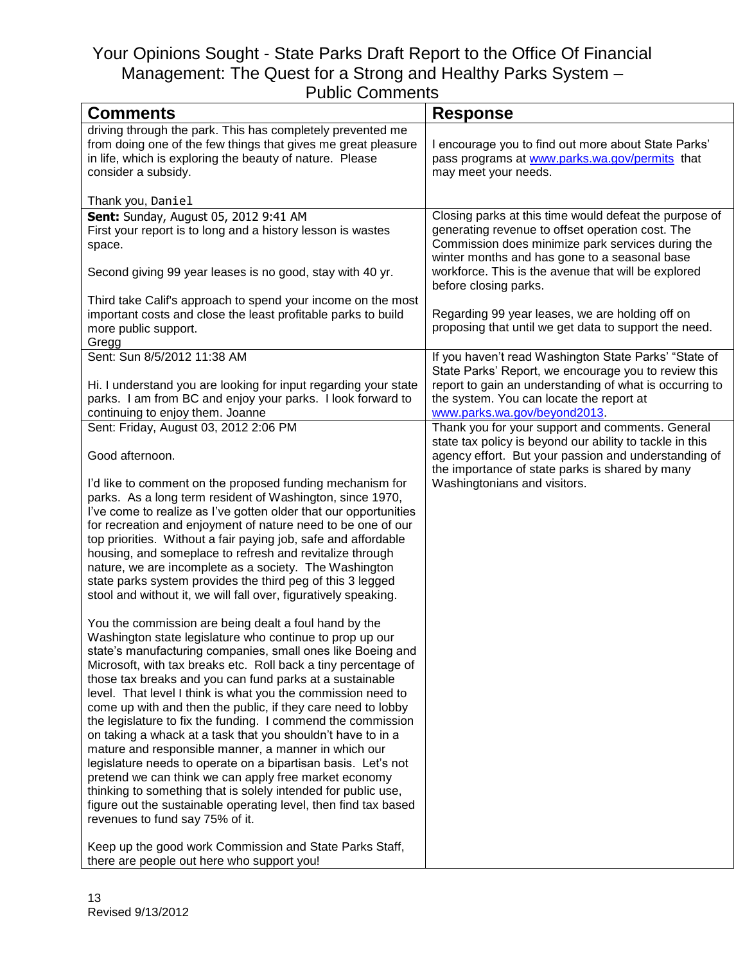| טוויוט טטוווווטוווט                                                                                                                                                                                                                                                                                                                                                                                                                                                                                                                                                                                                                                                                                                                                                                                                                                                                                                                                                                               |                                                                                                                                                                                                                                                                         |
|---------------------------------------------------------------------------------------------------------------------------------------------------------------------------------------------------------------------------------------------------------------------------------------------------------------------------------------------------------------------------------------------------------------------------------------------------------------------------------------------------------------------------------------------------------------------------------------------------------------------------------------------------------------------------------------------------------------------------------------------------------------------------------------------------------------------------------------------------------------------------------------------------------------------------------------------------------------------------------------------------|-------------------------------------------------------------------------------------------------------------------------------------------------------------------------------------------------------------------------------------------------------------------------|
| <b>Comments</b>                                                                                                                                                                                                                                                                                                                                                                                                                                                                                                                                                                                                                                                                                                                                                                                                                                                                                                                                                                                   | <b>Response</b>                                                                                                                                                                                                                                                         |
| driving through the park. This has completely prevented me<br>from doing one of the few things that gives me great pleasure<br>in life, which is exploring the beauty of nature. Please<br>consider a subsidy.                                                                                                                                                                                                                                                                                                                                                                                                                                                                                                                                                                                                                                                                                                                                                                                    | I encourage you to find out more about State Parks'<br>pass programs at www.parks.wa.gov/permits that<br>may meet your needs.                                                                                                                                           |
| Thank you, Daniel                                                                                                                                                                                                                                                                                                                                                                                                                                                                                                                                                                                                                                                                                                                                                                                                                                                                                                                                                                                 |                                                                                                                                                                                                                                                                         |
| Sent: Sunday, August 05, 2012 9:41 AM<br>First your report is to long and a history lesson is wastes<br>space.<br>Second giving 99 year leases is no good, stay with 40 yr.                                                                                                                                                                                                                                                                                                                                                                                                                                                                                                                                                                                                                                                                                                                                                                                                                       | Closing parks at this time would defeat the purpose of<br>generating revenue to offset operation cost. The<br>Commission does minimize park services during the<br>winter months and has gone to a seasonal base<br>workforce. This is the avenue that will be explored |
|                                                                                                                                                                                                                                                                                                                                                                                                                                                                                                                                                                                                                                                                                                                                                                                                                                                                                                                                                                                                   | before closing parks.                                                                                                                                                                                                                                                   |
| Third take Calif's approach to spend your income on the most<br>important costs and close the least profitable parks to build<br>more public support.<br>Gregg                                                                                                                                                                                                                                                                                                                                                                                                                                                                                                                                                                                                                                                                                                                                                                                                                                    | Regarding 99 year leases, we are holding off on<br>proposing that until we get data to support the need.                                                                                                                                                                |
| Sent: Sun 8/5/2012 11:38 AM                                                                                                                                                                                                                                                                                                                                                                                                                                                                                                                                                                                                                                                                                                                                                                                                                                                                                                                                                                       | If you haven't read Washington State Parks' "State of                                                                                                                                                                                                                   |
| Hi. I understand you are looking for input regarding your state<br>parks. I am from BC and enjoy your parks. I look forward to<br>continuing to enjoy them. Joanne                                                                                                                                                                                                                                                                                                                                                                                                                                                                                                                                                                                                                                                                                                                                                                                                                                | State Parks' Report, we encourage you to review this<br>report to gain an understanding of what is occurring to<br>the system. You can locate the report at<br>www.parks.wa.gov/beyond2013.                                                                             |
| Sent: Friday, August 03, 2012 2:06 PM                                                                                                                                                                                                                                                                                                                                                                                                                                                                                                                                                                                                                                                                                                                                                                                                                                                                                                                                                             | Thank you for your support and comments. General                                                                                                                                                                                                                        |
| Good afternoon.                                                                                                                                                                                                                                                                                                                                                                                                                                                                                                                                                                                                                                                                                                                                                                                                                                                                                                                                                                                   | state tax policy is beyond our ability to tackle in this<br>agency effort. But your passion and understanding of<br>the importance of state parks is shared by many                                                                                                     |
| I'd like to comment on the proposed funding mechanism for<br>parks. As a long term resident of Washington, since 1970,<br>I've come to realize as I've gotten older that our opportunities<br>for recreation and enjoyment of nature need to be one of our<br>top priorities. Without a fair paying job, safe and affordable<br>housing, and someplace to refresh and revitalize through<br>nature, we are incomplete as a society. The Washington<br>state parks system provides the third peg of this 3 legged<br>stool and without it, we will fall over, figuratively speaking.                                                                                                                                                                                                                                                                                                                                                                                                               | Washingtonians and visitors.                                                                                                                                                                                                                                            |
| You the commission are being dealt a foul hand by the<br>Washington state legislature who continue to prop up our<br>state's manufacturing companies, small ones like Boeing and<br>Microsoft, with tax breaks etc. Roll back a tiny percentage of<br>those tax breaks and you can fund parks at a sustainable<br>level. That level I think is what you the commission need to<br>come up with and then the public, if they care need to lobby<br>the legislature to fix the funding. I commend the commission<br>on taking a whack at a task that you shouldn't have to in a<br>mature and responsible manner, a manner in which our<br>legislature needs to operate on a bipartisan basis. Let's not<br>pretend we can think we can apply free market economy<br>thinking to something that is solely intended for public use,<br>figure out the sustainable operating level, then find tax based<br>revenues to fund say 75% of it.<br>Keep up the good work Commission and State Parks Staff, |                                                                                                                                                                                                                                                                         |
| there are people out here who support you!                                                                                                                                                                                                                                                                                                                                                                                                                                                                                                                                                                                                                                                                                                                                                                                                                                                                                                                                                        |                                                                                                                                                                                                                                                                         |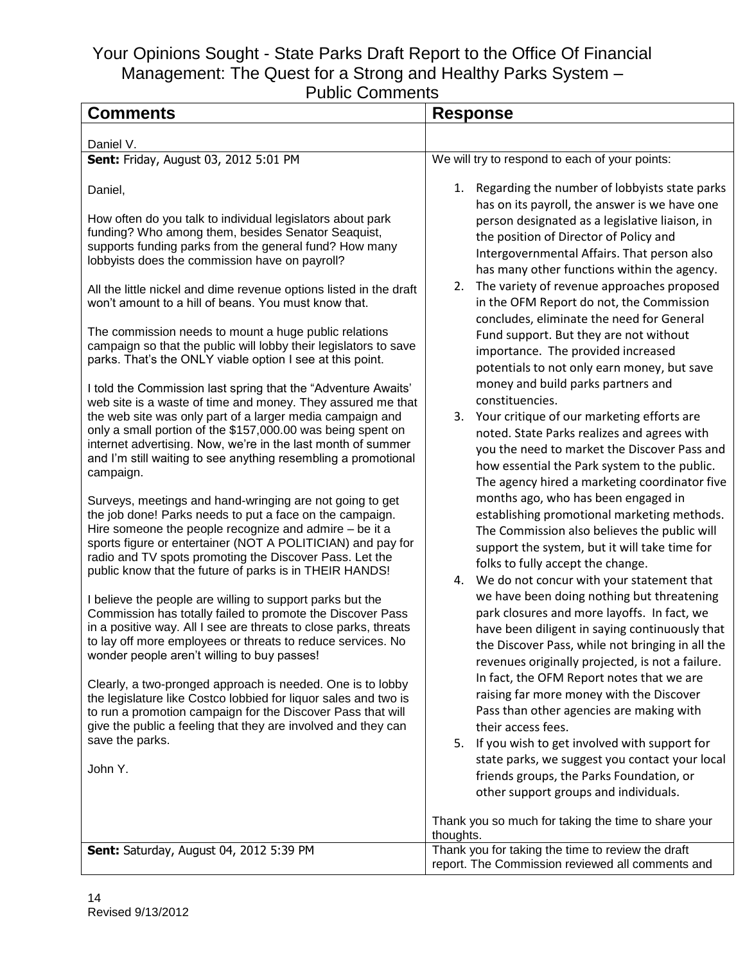| uviiu VVIIIIIUIIIu<br><b>Comments</b>                                                                                                                                                                                                                                                                                                                                                                                                                                                                                                                              |                                                                                                                                                                                                                                                                                                                                                                          |
|--------------------------------------------------------------------------------------------------------------------------------------------------------------------------------------------------------------------------------------------------------------------------------------------------------------------------------------------------------------------------------------------------------------------------------------------------------------------------------------------------------------------------------------------------------------------|--------------------------------------------------------------------------------------------------------------------------------------------------------------------------------------------------------------------------------------------------------------------------------------------------------------------------------------------------------------------------|
|                                                                                                                                                                                                                                                                                                                                                                                                                                                                                                                                                                    | <b>Response</b>                                                                                                                                                                                                                                                                                                                                                          |
| Daniel V.                                                                                                                                                                                                                                                                                                                                                                                                                                                                                                                                                          |                                                                                                                                                                                                                                                                                                                                                                          |
| Sent: Friday, August 03, 2012 5:01 PM                                                                                                                                                                                                                                                                                                                                                                                                                                                                                                                              | We will try to respond to each of your points:                                                                                                                                                                                                                                                                                                                           |
| Daniel,                                                                                                                                                                                                                                                                                                                                                                                                                                                                                                                                                            | 1. Regarding the number of lobbyists state parks<br>has on its payroll, the answer is we have one                                                                                                                                                                                                                                                                        |
| How often do you talk to individual legislators about park<br>funding? Who among them, besides Senator Seaquist,<br>supports funding parks from the general fund? How many<br>lobbyists does the commission have on payroll?<br>All the little nickel and dime revenue options listed in the draft<br>won't amount to a hill of beans. You must know that.                                                                                                                                                                                                         | person designated as a legislative liaison, in<br>the position of Director of Policy and<br>Intergovernmental Affairs. That person also<br>has many other functions within the agency.<br>The variety of revenue approaches proposed<br>2.<br>in the OFM Report do not, the Commission<br>concludes, eliminate the need for General                                      |
| The commission needs to mount a huge public relations<br>campaign so that the public will lobby their legislators to save<br>parks. That's the ONLY viable option I see at this point.                                                                                                                                                                                                                                                                                                                                                                             | Fund support. But they are not without<br>importance. The provided increased<br>potentials to not only earn money, but save                                                                                                                                                                                                                                              |
| I told the Commission last spring that the "Adventure Awaits"<br>web site is a waste of time and money. They assured me that<br>the web site was only part of a larger media campaign and<br>only a small portion of the \$157,000.00 was being spent on<br>internet advertising. Now, we're in the last month of summer<br>and I'm still waiting to see anything resembling a promotional<br>campaign.                                                                                                                                                            | money and build parks partners and<br>constituencies.<br>3. Your critique of our marketing efforts are<br>noted. State Parks realizes and agrees with<br>you the need to market the Discover Pass and<br>how essential the Park system to the public.<br>The agency hired a marketing coordinator five                                                                   |
| Surveys, meetings and hand-wringing are not going to get<br>the job done! Parks needs to put a face on the campaign.<br>Hire someone the people recognize and admire - be it a<br>sports figure or entertainer (NOT A POLITICIAN) and pay for<br>radio and TV spots promoting the Discover Pass. Let the<br>public know that the future of parks is in THEIR HANDS!<br>I believe the people are willing to support parks but the<br>Commission has totally failed to promote the Discover Pass<br>in a positive way. All I see are threats to close parks, threats | months ago, who has been engaged in<br>establishing promotional marketing methods.<br>The Commission also believes the public will<br>support the system, but it will take time for<br>folks to fully accept the change.<br>We do not concur with your statement that<br>4.<br>we have been doing nothing but threatening<br>park closures and more layoffs. In fact, we |
| to lay off more employees or threats to reduce services. No<br>wonder people aren't willing to buy passes!                                                                                                                                                                                                                                                                                                                                                                                                                                                         | have been diligent in saying continuously that<br>the Discover Pass, while not bringing in all the<br>revenues originally projected, is not a failure.                                                                                                                                                                                                                   |
| Clearly, a two-pronged approach is needed. One is to lobby<br>the legislature like Costco lobbied for liquor sales and two is<br>to run a promotion campaign for the Discover Pass that will<br>give the public a feeling that they are involved and they can<br>save the parks.                                                                                                                                                                                                                                                                                   | In fact, the OFM Report notes that we are<br>raising far more money with the Discover<br>Pass than other agencies are making with<br>their access fees.<br>5. If you wish to get involved with support for                                                                                                                                                               |
| John Y.                                                                                                                                                                                                                                                                                                                                                                                                                                                                                                                                                            | state parks, we suggest you contact your local<br>friends groups, the Parks Foundation, or<br>other support groups and individuals.                                                                                                                                                                                                                                      |
|                                                                                                                                                                                                                                                                                                                                                                                                                                                                                                                                                                    | Thank you so much for taking the time to share your<br>thoughts.                                                                                                                                                                                                                                                                                                         |
| Sent: Saturday, August 04, 2012 5:39 PM                                                                                                                                                                                                                                                                                                                                                                                                                                                                                                                            | Thank you for taking the time to review the draft<br>report. The Commission reviewed all comments and                                                                                                                                                                                                                                                                    |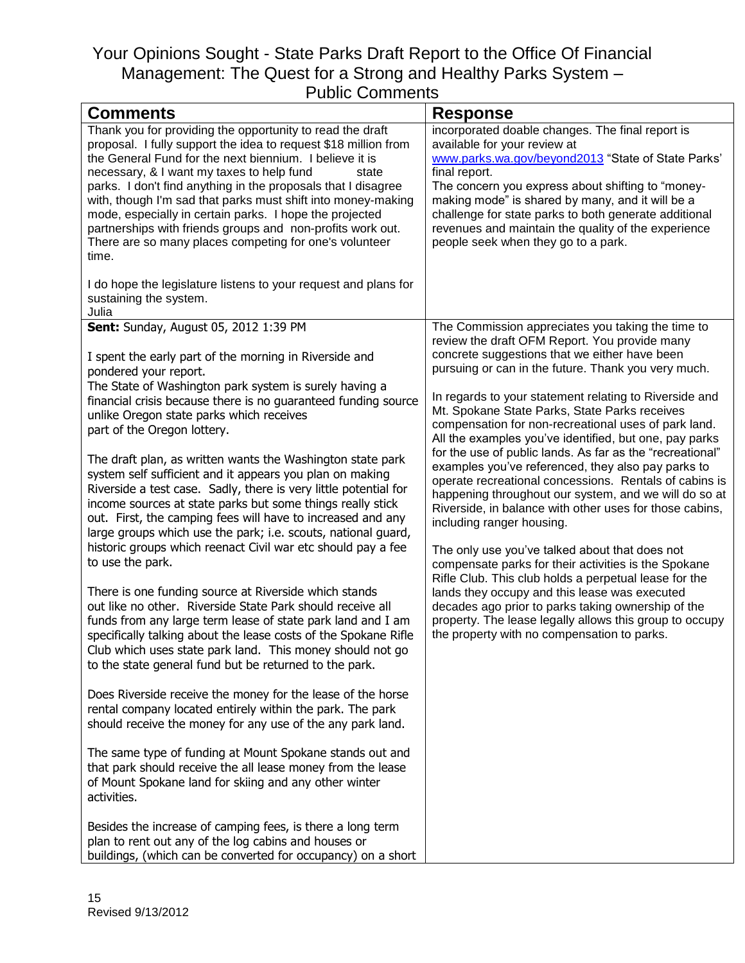| <b>Comments</b>                                                                                                                                                                                                                                                                                                                                                                                                                                                                                                                                                                                                                                                                                                                                                                                                                                                                                                                                                                                                                                                                                                                                                                                                                                                                                                                                                                                                                                                                                                                                                                              | <b>Response</b>                                                                                                                                                                                                                                                                                                                                                                                                                                                                                                                                                                                                                                                                                                                                                                                                                                                                                                                                                                                                                                                                                                                                           |
|----------------------------------------------------------------------------------------------------------------------------------------------------------------------------------------------------------------------------------------------------------------------------------------------------------------------------------------------------------------------------------------------------------------------------------------------------------------------------------------------------------------------------------------------------------------------------------------------------------------------------------------------------------------------------------------------------------------------------------------------------------------------------------------------------------------------------------------------------------------------------------------------------------------------------------------------------------------------------------------------------------------------------------------------------------------------------------------------------------------------------------------------------------------------------------------------------------------------------------------------------------------------------------------------------------------------------------------------------------------------------------------------------------------------------------------------------------------------------------------------------------------------------------------------------------------------------------------------|-----------------------------------------------------------------------------------------------------------------------------------------------------------------------------------------------------------------------------------------------------------------------------------------------------------------------------------------------------------------------------------------------------------------------------------------------------------------------------------------------------------------------------------------------------------------------------------------------------------------------------------------------------------------------------------------------------------------------------------------------------------------------------------------------------------------------------------------------------------------------------------------------------------------------------------------------------------------------------------------------------------------------------------------------------------------------------------------------------------------------------------------------------------|
| Thank you for providing the opportunity to read the draft<br>proposal. I fully support the idea to request \$18 million from<br>the General Fund for the next biennium. I believe it is<br>necessary, & I want my taxes to help fund<br>state<br>parks. I don't find anything in the proposals that I disagree<br>with, though I'm sad that parks must shift into money-making<br>mode, especially in certain parks. I hope the projected<br>partnerships with friends groups and non-profits work out.<br>There are so many places competing for one's volunteer<br>time.<br>I do hope the legislature listens to your request and plans for<br>sustaining the system.                                                                                                                                                                                                                                                                                                                                                                                                                                                                                                                                                                                                                                                                                                                                                                                                                                                                                                                      | incorporated doable changes. The final report is<br>available for your review at<br>www.parks.wa.gov/beyond2013 "State of State Parks'<br>final report.<br>The concern you express about shifting to "money-<br>making mode" is shared by many, and it will be a<br>challenge for state parks to both generate additional<br>revenues and maintain the quality of the experience<br>people seek when they go to a park.                                                                                                                                                                                                                                                                                                                                                                                                                                                                                                                                                                                                                                                                                                                                   |
| Julia                                                                                                                                                                                                                                                                                                                                                                                                                                                                                                                                                                                                                                                                                                                                                                                                                                                                                                                                                                                                                                                                                                                                                                                                                                                                                                                                                                                                                                                                                                                                                                                        |                                                                                                                                                                                                                                                                                                                                                                                                                                                                                                                                                                                                                                                                                                                                                                                                                                                                                                                                                                                                                                                                                                                                                           |
| Sent: Sunday, August 05, 2012 1:39 PM<br>I spent the early part of the morning in Riverside and<br>pondered your report.<br>The State of Washington park system is surely having a<br>financial crisis because there is no guaranteed funding source<br>unlike Oregon state parks which receives<br>part of the Oregon lottery.<br>The draft plan, as written wants the Washington state park<br>system self sufficient and it appears you plan on making<br>Riverside a test case. Sadly, there is very little potential for<br>income sources at state parks but some things really stick<br>out. First, the camping fees will have to increased and any<br>large groups which use the park; i.e. scouts, national guard,<br>historic groups which reenact Civil war etc should pay a fee<br>to use the park.<br>There is one funding source at Riverside which stands<br>out like no other. Riverside State Park should receive all<br>funds from any large term lease of state park land and I am<br>specifically talking about the lease costs of the Spokane Rifle<br>Club which uses state park land. This money should not go<br>to the state general fund but be returned to the park.<br>Does Riverside receive the money for the lease of the horse<br>rental company located entirely within the park. The park<br>should receive the money for any use of the any park land.<br>The same type of funding at Mount Spokane stands out and<br>that park should receive the all lease money from the lease<br>of Mount Spokane land for skiing and any other winter<br>activities. | The Commission appreciates you taking the time to<br>review the draft OFM Report. You provide many<br>concrete suggestions that we either have been<br>pursuing or can in the future. Thank you very much.<br>In regards to your statement relating to Riverside and<br>Mt. Spokane State Parks, State Parks receives<br>compensation for non-recreational uses of park land.<br>All the examples you've identified, but one, pay parks<br>for the use of public lands. As far as the "recreational"<br>examples you've referenced, they also pay parks to<br>operate recreational concessions. Rentals of cabins is<br>happening throughout our system, and we will do so at<br>Riverside, in balance with other uses for those cabins,<br>including ranger housing.<br>The only use you've talked about that does not<br>compensate parks for their activities is the Spokane<br>Rifle Club. This club holds a perpetual lease for the<br>lands they occupy and this lease was executed<br>decades ago prior to parks taking ownership of the<br>property. The lease legally allows this group to occupy<br>the property with no compensation to parks. |
| Besides the increase of camping fees, is there a long term<br>plan to rent out any of the log cabins and houses or<br>buildings, (which can be converted for occupancy) on a short                                                                                                                                                                                                                                                                                                                                                                                                                                                                                                                                                                                                                                                                                                                                                                                                                                                                                                                                                                                                                                                                                                                                                                                                                                                                                                                                                                                                           |                                                                                                                                                                                                                                                                                                                                                                                                                                                                                                                                                                                                                                                                                                                                                                                                                                                                                                                                                                                                                                                                                                                                                           |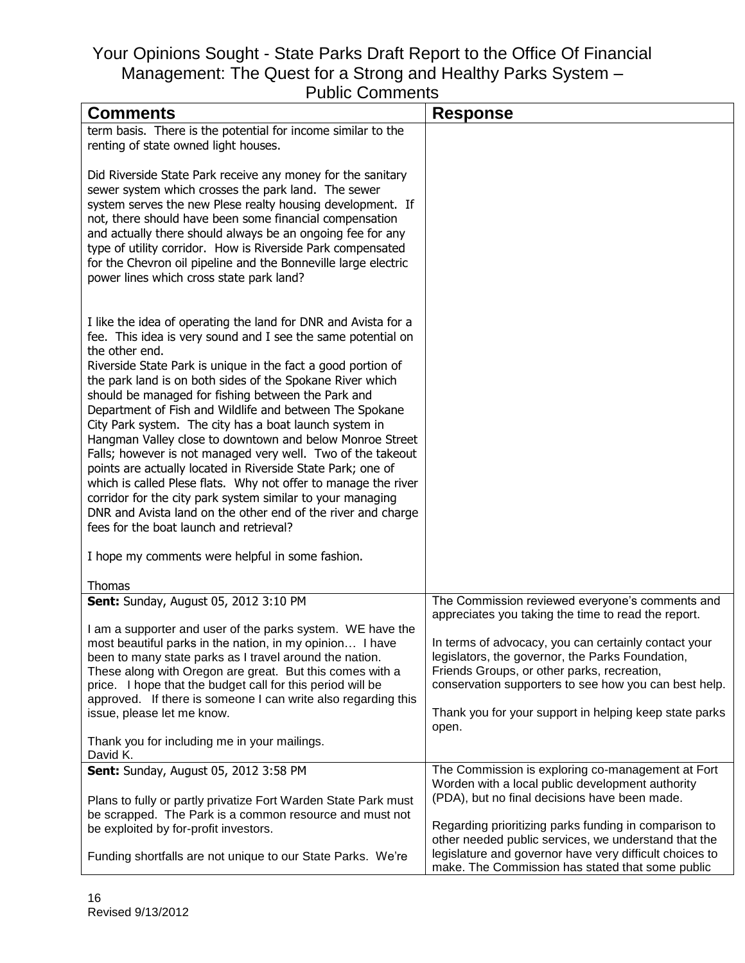| <u>F UNIIU VUITIITIEITIS</u>                                                                                                                                                                                                                                                                                                                                                                                                                                                                                                                                                                                                                                                                                                                                                                                                                                                                                                                      |                                                                                                                                                                                                                                                                                                                                            |
|---------------------------------------------------------------------------------------------------------------------------------------------------------------------------------------------------------------------------------------------------------------------------------------------------------------------------------------------------------------------------------------------------------------------------------------------------------------------------------------------------------------------------------------------------------------------------------------------------------------------------------------------------------------------------------------------------------------------------------------------------------------------------------------------------------------------------------------------------------------------------------------------------------------------------------------------------|--------------------------------------------------------------------------------------------------------------------------------------------------------------------------------------------------------------------------------------------------------------------------------------------------------------------------------------------|
| <b>Comments</b>                                                                                                                                                                                                                                                                                                                                                                                                                                                                                                                                                                                                                                                                                                                                                                                                                                                                                                                                   | <b>Response</b>                                                                                                                                                                                                                                                                                                                            |
| term basis. There is the potential for income similar to the<br>renting of state owned light houses.                                                                                                                                                                                                                                                                                                                                                                                                                                                                                                                                                                                                                                                                                                                                                                                                                                              |                                                                                                                                                                                                                                                                                                                                            |
| Did Riverside State Park receive any money for the sanitary<br>sewer system which crosses the park land. The sewer<br>system serves the new Plese realty housing development. If<br>not, there should have been some financial compensation<br>and actually there should always be an ongoing fee for any<br>type of utility corridor. How is Riverside Park compensated<br>for the Chevron oil pipeline and the Bonneville large electric<br>power lines which cross state park land?                                                                                                                                                                                                                                                                                                                                                                                                                                                            |                                                                                                                                                                                                                                                                                                                                            |
| I like the idea of operating the land for DNR and Avista for a<br>fee. This idea is very sound and I see the same potential on<br>the other end.<br>Riverside State Park is unique in the fact a good portion of<br>the park land is on both sides of the Spokane River which<br>should be managed for fishing between the Park and<br>Department of Fish and Wildlife and between The Spokane<br>City Park system. The city has a boat launch system in<br>Hangman Valley close to downtown and below Monroe Street<br>Falls; however is not managed very well. Two of the takeout<br>points are actually located in Riverside State Park; one of<br>which is called Plese flats. Why not offer to manage the river<br>corridor for the city park system similar to your managing<br>DNR and Avista land on the other end of the river and charge<br>fees for the boat launch and retrieval?<br>I hope my comments were helpful in some fashion. |                                                                                                                                                                                                                                                                                                                                            |
| Thomas                                                                                                                                                                                                                                                                                                                                                                                                                                                                                                                                                                                                                                                                                                                                                                                                                                                                                                                                            |                                                                                                                                                                                                                                                                                                                                            |
| Sent: Sunday, August 05, 2012 3:10 PM                                                                                                                                                                                                                                                                                                                                                                                                                                                                                                                                                                                                                                                                                                                                                                                                                                                                                                             | The Commission reviewed everyone's comments and                                                                                                                                                                                                                                                                                            |
| I am a supporter and user of the parks system. WE have the<br>most beautiful parks in the nation, in my opinion I have<br>been to many state parks as I travel around the nation.<br>These along with Oregon are great. But this comes with a<br>price. I hope that the budget call for this period will be<br>approved. If there is someone I can write also regarding this<br>issue, please let me know.                                                                                                                                                                                                                                                                                                                                                                                                                                                                                                                                        | appreciates you taking the time to read the report.<br>In terms of advocacy, you can certainly contact your<br>legislators, the governor, the Parks Foundation,<br>Friends Groups, or other parks, recreation,<br>conservation supporters to see how you can best help.<br>Thank you for your support in helping keep state parks<br>open. |
| Thank you for including me in your mailings.<br>David K.                                                                                                                                                                                                                                                                                                                                                                                                                                                                                                                                                                                                                                                                                                                                                                                                                                                                                          |                                                                                                                                                                                                                                                                                                                                            |
| Sent: Sunday, August 05, 2012 3:58 PM<br>Plans to fully or partly privatize Fort Warden State Park must<br>be scrapped. The Park is a common resource and must not<br>be exploited by for-profit investors.<br>Funding shortfalls are not unique to our State Parks. We're                                                                                                                                                                                                                                                                                                                                                                                                                                                                                                                                                                                                                                                                        | The Commission is exploring co-management at Fort<br>Worden with a local public development authority<br>(PDA), but no final decisions have been made.<br>Regarding prioritizing parks funding in comparison to<br>other needed public services, we understand that the<br>legislature and governor have very difficult choices to         |
|                                                                                                                                                                                                                                                                                                                                                                                                                                                                                                                                                                                                                                                                                                                                                                                                                                                                                                                                                   | make. The Commission has stated that some public                                                                                                                                                                                                                                                                                           |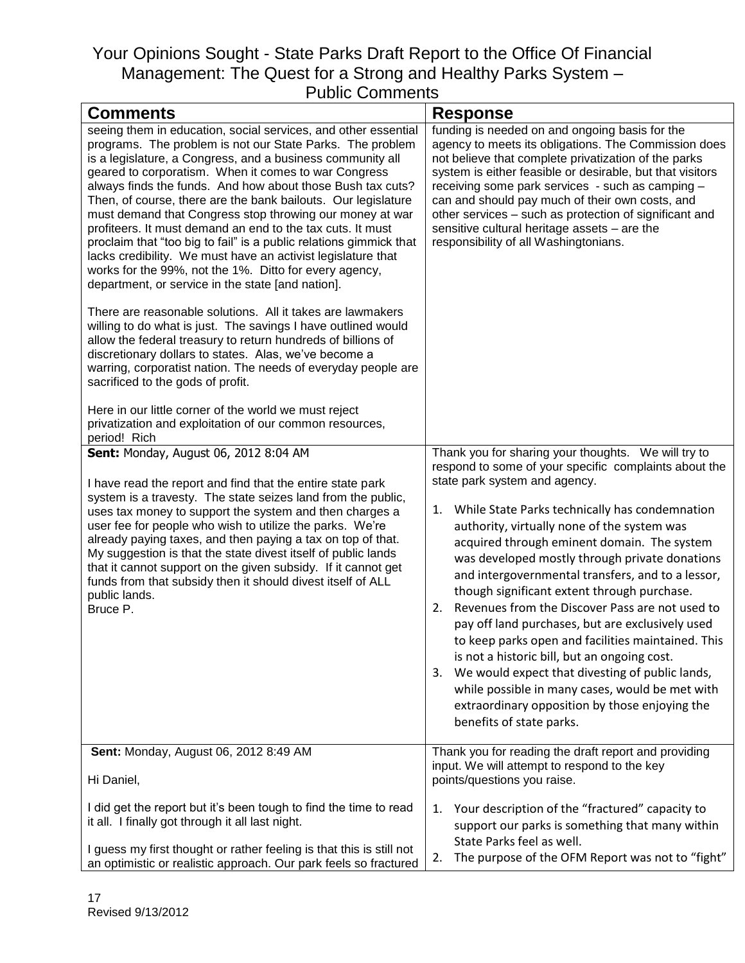| <b>Comments</b>                                                                                                                                                                                                                                                                                                                                                                                                                                                                                                                                                                                                                                                                                                                                                                                                                                                                                                                                                                                                                                                                                                                                                                                                                                                   | <b>Response</b>                                                                                                                                                                                                                                                                                                                                                                                                                                                                                                                                                                                                                                                                                                                                                                                                                                                        |
|-------------------------------------------------------------------------------------------------------------------------------------------------------------------------------------------------------------------------------------------------------------------------------------------------------------------------------------------------------------------------------------------------------------------------------------------------------------------------------------------------------------------------------------------------------------------------------------------------------------------------------------------------------------------------------------------------------------------------------------------------------------------------------------------------------------------------------------------------------------------------------------------------------------------------------------------------------------------------------------------------------------------------------------------------------------------------------------------------------------------------------------------------------------------------------------------------------------------------------------------------------------------|------------------------------------------------------------------------------------------------------------------------------------------------------------------------------------------------------------------------------------------------------------------------------------------------------------------------------------------------------------------------------------------------------------------------------------------------------------------------------------------------------------------------------------------------------------------------------------------------------------------------------------------------------------------------------------------------------------------------------------------------------------------------------------------------------------------------------------------------------------------------|
| seeing them in education, social services, and other essential<br>programs. The problem is not our State Parks. The problem<br>is a legislature, a Congress, and a business community all<br>geared to corporatism. When it comes to war Congress<br>always finds the funds. And how about those Bush tax cuts?<br>Then, of course, there are the bank bailouts. Our legislature<br>must demand that Congress stop throwing our money at war<br>profiteers. It must demand an end to the tax cuts. It must<br>proclaim that "too big to fail" is a public relations gimmick that<br>lacks credibility. We must have an activist legislature that<br>works for the 99%, not the 1%. Ditto for every agency,<br>department, or service in the state [and nation].<br>There are reasonable solutions. All it takes are lawmakers<br>willing to do what is just. The savings I have outlined would<br>allow the federal treasury to return hundreds of billions of<br>discretionary dollars to states. Alas, we've become a<br>warring, corporatist nation. The needs of everyday people are<br>sacrificed to the gods of profit.<br>Here in our little corner of the world we must reject<br>privatization and exploitation of our common resources,<br>period! Rich | funding is needed on and ongoing basis for the<br>agency to meets its obligations. The Commission does<br>not believe that complete privatization of the parks<br>system is either feasible or desirable, but that visitors<br>receiving some park services - such as camping -<br>can and should pay much of their own costs, and<br>other services - such as protection of significant and<br>sensitive cultural heritage assets - are the<br>responsibility of all Washingtonians.                                                                                                                                                                                                                                                                                                                                                                                  |
| Sent: Monday, August 06, 2012 8:04 AM<br>I have read the report and find that the entire state park<br>system is a travesty. The state seizes land from the public,<br>uses tax money to support the system and then charges a<br>user fee for people who wish to utilize the parks. We're<br>already paying taxes, and then paying a tax on top of that.<br>My suggestion is that the state divest itself of public lands<br>that it cannot support on the given subsidy. If it cannot get<br>funds from that subsidy then it should divest itself of ALL<br>public lands.<br>Bruce P.                                                                                                                                                                                                                                                                                                                                                                                                                                                                                                                                                                                                                                                                           | Thank you for sharing your thoughts. We will try to<br>respond to some of your specific complaints about the<br>state park system and agency.<br>While State Parks technically has condemnation<br>1.<br>authority, virtually none of the system was<br>acquired through eminent domain. The system<br>was developed mostly through private donations<br>and intergovernmental transfers, and to a lessor,<br>though significant extent through purchase.<br>Revenues from the Discover Pass are not used to<br>2.<br>pay off land purchases, but are exclusively used<br>to keep parks open and facilities maintained. This<br>is not a historic bill, but an ongoing cost.<br>We would expect that divesting of public lands,<br>3.<br>while possible in many cases, would be met with<br>extraordinary opposition by those enjoying the<br>benefits of state parks. |
| Sent: Monday, August 06, 2012 8:49 AM<br>Hi Daniel,                                                                                                                                                                                                                                                                                                                                                                                                                                                                                                                                                                                                                                                                                                                                                                                                                                                                                                                                                                                                                                                                                                                                                                                                               | Thank you for reading the draft report and providing<br>input. We will attempt to respond to the key<br>points/questions you raise.                                                                                                                                                                                                                                                                                                                                                                                                                                                                                                                                                                                                                                                                                                                                    |
| I did get the report but it's been tough to find the time to read<br>it all. I finally got through it all last night.<br>I guess my first thought or rather feeling is that this is still not<br>an optimistic or realistic approach. Our park feels so fractured                                                                                                                                                                                                                                                                                                                                                                                                                                                                                                                                                                                                                                                                                                                                                                                                                                                                                                                                                                                                 | 1. Your description of the "fractured" capacity to<br>support our parks is something that many within<br>State Parks feel as well.<br>The purpose of the OFM Report was not to "fight"<br>2.                                                                                                                                                                                                                                                                                                                                                                                                                                                                                                                                                                                                                                                                           |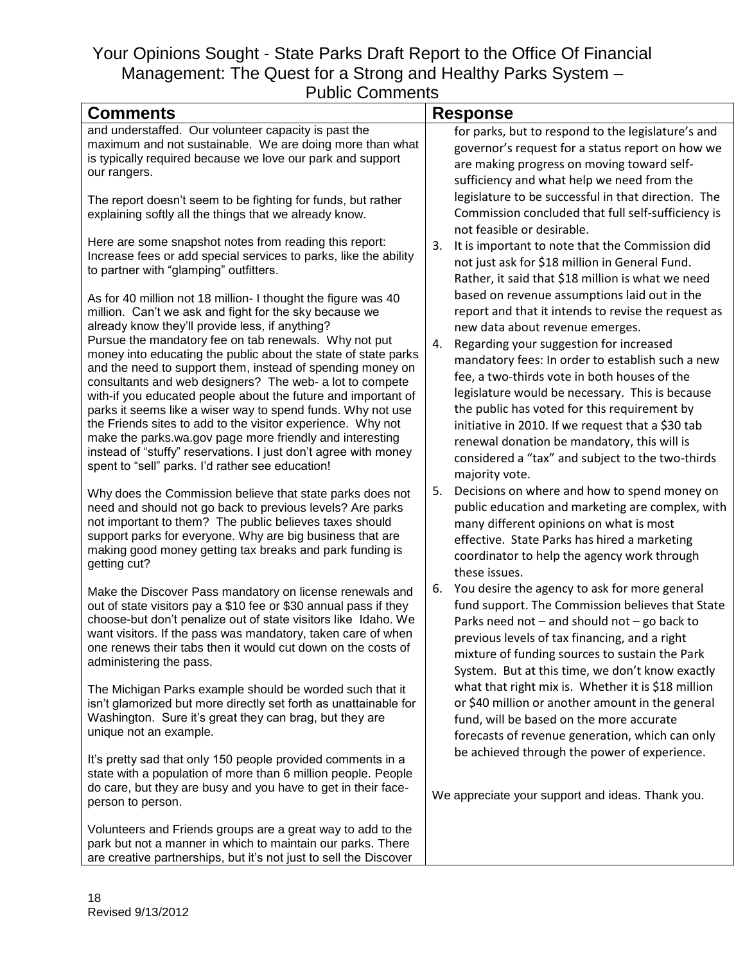| uviiu VVIIIIIVIII                                                                                                                                                                                                                                                                                                                                                                                                                                                                                                                                                                                                                                                                                                                                                                                                                                                  |                                                                                                                                                                                                                                                                                                                                                                                                                                                                                                                                                                                                                                                                    |
|--------------------------------------------------------------------------------------------------------------------------------------------------------------------------------------------------------------------------------------------------------------------------------------------------------------------------------------------------------------------------------------------------------------------------------------------------------------------------------------------------------------------------------------------------------------------------------------------------------------------------------------------------------------------------------------------------------------------------------------------------------------------------------------------------------------------------------------------------------------------|--------------------------------------------------------------------------------------------------------------------------------------------------------------------------------------------------------------------------------------------------------------------------------------------------------------------------------------------------------------------------------------------------------------------------------------------------------------------------------------------------------------------------------------------------------------------------------------------------------------------------------------------------------------------|
| <b>Comments</b>                                                                                                                                                                                                                                                                                                                                                                                                                                                                                                                                                                                                                                                                                                                                                                                                                                                    | <b>Response</b>                                                                                                                                                                                                                                                                                                                                                                                                                                                                                                                                                                                                                                                    |
| and understaffed. Our volunteer capacity is past the<br>maximum and not sustainable. We are doing more than what<br>is typically required because we love our park and support<br>our rangers.                                                                                                                                                                                                                                                                                                                                                                                                                                                                                                                                                                                                                                                                     | for parks, but to respond to the legislature's and<br>governor's request for a status report on how we<br>are making progress on moving toward self-<br>sufficiency and what help we need from the                                                                                                                                                                                                                                                                                                                                                                                                                                                                 |
| The report doesn't seem to be fighting for funds, but rather<br>explaining softly all the things that we already know.                                                                                                                                                                                                                                                                                                                                                                                                                                                                                                                                                                                                                                                                                                                                             | legislature to be successful in that direction. The<br>Commission concluded that full self-sufficiency is<br>not feasible or desirable.                                                                                                                                                                                                                                                                                                                                                                                                                                                                                                                            |
| Here are some snapshot notes from reading this report:<br>Increase fees or add special services to parks, like the ability<br>to partner with "glamping" outfitters.<br>As for 40 million not 18 million- I thought the figure was 40<br>million. Can't we ask and fight for the sky because we<br>already know they'll provide less, if anything?<br>Pursue the mandatory fee on tab renewals. Why not put<br>money into educating the public about the state of state parks<br>and the need to support them, instead of spending money on<br>consultants and web designers? The web- a lot to compete<br>with-if you educated people about the future and important of<br>parks it seems like a wiser way to spend funds. Why not use<br>the Friends sites to add to the visitor experience. Why not<br>make the parks.wa.gov page more friendly and interesting | It is important to note that the Commission did<br>3.<br>not just ask for \$18 million in General Fund.<br>Rather, it said that \$18 million is what we need<br>based on revenue assumptions laid out in the<br>report and that it intends to revise the request as<br>new data about revenue emerges.<br>Regarding your suggestion for increased<br>4.<br>mandatory fees: In order to establish such a new<br>fee, a two-thirds vote in both houses of the<br>legislature would be necessary. This is because<br>the public has voted for this requirement by<br>initiative in 2010. If we request that a \$30 tab<br>renewal donation be mandatory, this will is |
| instead of "stuffy" reservations. I just don't agree with money<br>spent to "sell" parks. I'd rather see education!                                                                                                                                                                                                                                                                                                                                                                                                                                                                                                                                                                                                                                                                                                                                                | considered a "tax" and subject to the two-thirds<br>majority vote.                                                                                                                                                                                                                                                                                                                                                                                                                                                                                                                                                                                                 |
| Why does the Commission believe that state parks does not<br>need and should not go back to previous levels? Are parks<br>not important to them? The public believes taxes should<br>support parks for everyone. Why are big business that are<br>making good money getting tax breaks and park funding is<br>getting cut?                                                                                                                                                                                                                                                                                                                                                                                                                                                                                                                                         | Decisions on where and how to spend money on<br>5.<br>public education and marketing are complex, with<br>many different opinions on what is most<br>effective. State Parks has hired a marketing<br>coordinator to help the agency work through<br>these issues.                                                                                                                                                                                                                                                                                                                                                                                                  |
| Make the Discover Pass mandatory on license renewals and<br>out of state visitors pay a \$10 fee or \$30 annual pass if they<br>choose-but don't penalize out of state visitors like Idaho. We<br>want visitors. If the pass was mandatory, taken care of when<br>one renews their tabs then it would cut down on the costs of<br>administering the pass.                                                                                                                                                                                                                                                                                                                                                                                                                                                                                                          | You desire the agency to ask for more general<br>6.<br>fund support. The Commission believes that State<br>Parks need not $-$ and should not $-$ go back to<br>previous levels of tax financing, and a right<br>mixture of funding sources to sustain the Park<br>System. But at this time, we don't know exactly                                                                                                                                                                                                                                                                                                                                                  |
| The Michigan Parks example should be worded such that it<br>isn't glamorized but more directly set forth as unattainable for<br>Washington. Sure it's great they can brag, but they are<br>unique not an example.                                                                                                                                                                                                                                                                                                                                                                                                                                                                                                                                                                                                                                                  | what that right mix is. Whether it is \$18 million<br>or \$40 million or another amount in the general<br>fund, will be based on the more accurate<br>forecasts of revenue generation, which can only                                                                                                                                                                                                                                                                                                                                                                                                                                                              |
| It's pretty sad that only 150 people provided comments in a<br>state with a population of more than 6 million people. People<br>do care, but they are busy and you have to get in their face-<br>person to person.                                                                                                                                                                                                                                                                                                                                                                                                                                                                                                                                                                                                                                                 | be achieved through the power of experience.<br>We appreciate your support and ideas. Thank you.                                                                                                                                                                                                                                                                                                                                                                                                                                                                                                                                                                   |
| Volunteers and Friends groups are a great way to add to the<br>park but not a manner in which to maintain our parks. There<br>are creative partnerships, but it's not just to sell the Discover                                                                                                                                                                                                                                                                                                                                                                                                                                                                                                                                                                                                                                                                    |                                                                                                                                                                                                                                                                                                                                                                                                                                                                                                                                                                                                                                                                    |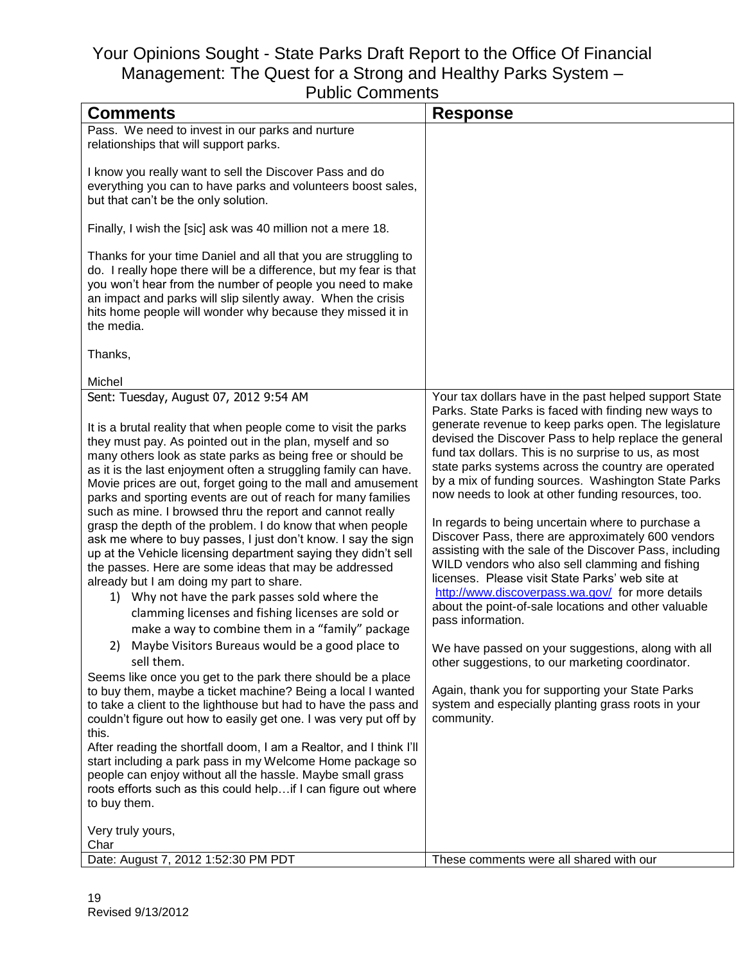| Comments                                                                                                                        | <b>Response</b>                                         |
|---------------------------------------------------------------------------------------------------------------------------------|---------------------------------------------------------|
| Pass. We need to invest in our parks and nurture                                                                                |                                                         |
| relationships that will support parks.                                                                                          |                                                         |
|                                                                                                                                 |                                                         |
| I know you really want to sell the Discover Pass and do                                                                         |                                                         |
| everything you can to have parks and volunteers boost sales,                                                                    |                                                         |
| but that can't be the only solution.                                                                                            |                                                         |
|                                                                                                                                 |                                                         |
| Finally, I wish the [sic] ask was 40 million not a mere 18.                                                                     |                                                         |
| Thanks for your time Daniel and all that you are struggling to                                                                  |                                                         |
| do. I really hope there will be a difference, but my fear is that                                                               |                                                         |
| you won't hear from the number of people you need to make                                                                       |                                                         |
| an impact and parks will slip silently away. When the crisis                                                                    |                                                         |
| hits home people will wonder why because they missed it in                                                                      |                                                         |
| the media.                                                                                                                      |                                                         |
|                                                                                                                                 |                                                         |
| Thanks,                                                                                                                         |                                                         |
| Michel                                                                                                                          |                                                         |
| Sent: Tuesday, August 07, 2012 9:54 AM                                                                                          | Your tax dollars have in the past helped support State  |
|                                                                                                                                 | Parks. State Parks is faced with finding new ways to    |
| It is a brutal reality that when people come to visit the parks                                                                 | generate revenue to keep parks open. The legislature    |
| they must pay. As pointed out in the plan, myself and so                                                                        | devised the Discover Pass to help replace the general   |
| many others look as state parks as being free or should be                                                                      | fund tax dollars. This is no surprise to us, as most    |
| as it is the last enjoyment often a struggling family can have.                                                                 | state parks systems across the country are operated     |
| Movie prices are out, forget going to the mall and amusement                                                                    | by a mix of funding sources. Washington State Parks     |
| parks and sporting events are out of reach for many families                                                                    | now needs to look at other funding resources, too.      |
| such as mine. I browsed thru the report and cannot really                                                                       | In regards to being uncertain where to purchase a       |
| grasp the depth of the problem. I do know that when people                                                                      | Discover Pass, there are approximately 600 vendors      |
| ask me where to buy passes, I just don't know. I say the sign<br>up at the Vehicle licensing department saying they didn't sell | assisting with the sale of the Discover Pass, including |
| the passes. Here are some ideas that may be addressed                                                                           | WILD vendors who also sell clamming and fishing         |
| already but I am doing my part to share.                                                                                        | licenses. Please visit State Parks' web site at         |
| 1) Why not have the park passes sold where the                                                                                  | http://www.discoverpass.wa.gov/ for more details        |
| clamming licenses and fishing licenses are sold or                                                                              | about the point-of-sale locations and other valuable    |
| make a way to combine them in a "family" package                                                                                | pass information.                                       |
| 2) Maybe Visitors Bureaus would be a good place to                                                                              | We have passed on your suggestions, along with all      |
| sell them.                                                                                                                      | other suggestions, to our marketing coordinator.        |
| Seems like once you get to the park there should be a place                                                                     |                                                         |
| to buy them, maybe a ticket machine? Being a local I wanted                                                                     | Again, thank you for supporting your State Parks        |
| to take a client to the lighthouse but had to have the pass and                                                                 | system and especially planting grass roots in your      |
| couldn't figure out how to easily get one. I was very put off by                                                                | community.                                              |
| this.                                                                                                                           |                                                         |
| After reading the shortfall doom, I am a Realtor, and I think I'll                                                              |                                                         |
| start including a park pass in my Welcome Home package so                                                                       |                                                         |
| people can enjoy without all the hassle. Maybe small grass<br>roots efforts such as this could help if I can figure out where   |                                                         |
| to buy them.                                                                                                                    |                                                         |
|                                                                                                                                 |                                                         |
| Very truly yours,                                                                                                               |                                                         |
| Char                                                                                                                            |                                                         |
| Date: August 7, 2012 1:52:30 PM PDT                                                                                             | These comments were all shared with our                 |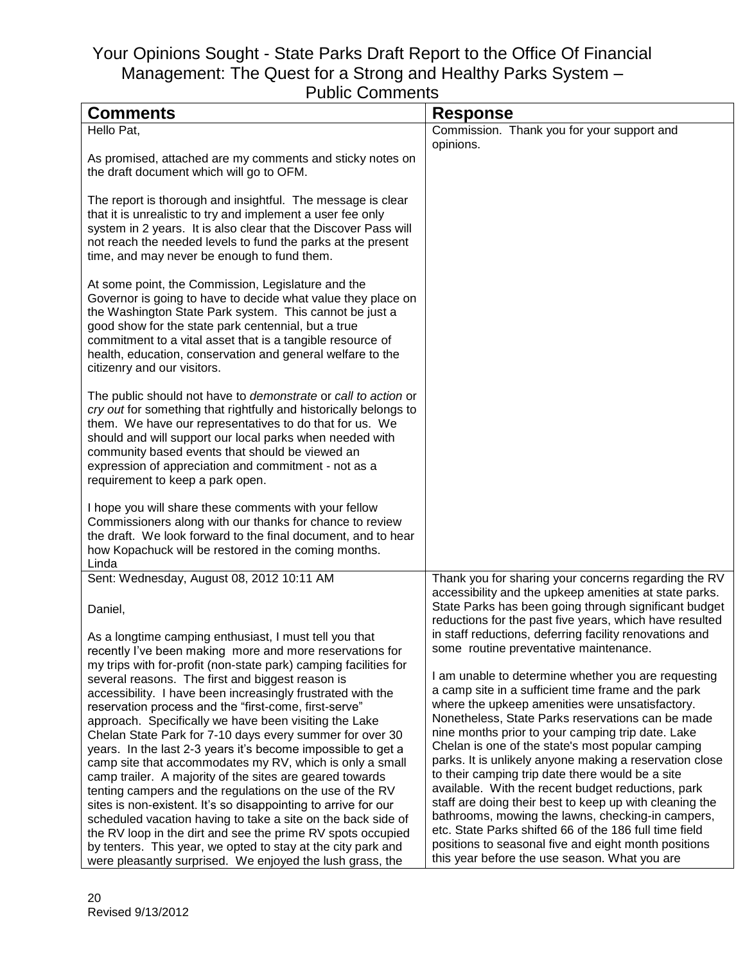| <b>Comments</b>                                                                                                                                                                                                                                                                                                                                                                                           | <b>Response</b>                                                                                                                                                            |
|-----------------------------------------------------------------------------------------------------------------------------------------------------------------------------------------------------------------------------------------------------------------------------------------------------------------------------------------------------------------------------------------------------------|----------------------------------------------------------------------------------------------------------------------------------------------------------------------------|
| Hello Pat,                                                                                                                                                                                                                                                                                                                                                                                                | Commission. Thank you for your support and<br>opinions.                                                                                                                    |
| As promised, attached are my comments and sticky notes on<br>the draft document which will go to OFM.                                                                                                                                                                                                                                                                                                     |                                                                                                                                                                            |
| The report is thorough and insightful. The message is clear<br>that it is unrealistic to try and implement a user fee only<br>system in 2 years. It is also clear that the Discover Pass will<br>not reach the needed levels to fund the parks at the present<br>time, and may never be enough to fund them.                                                                                              |                                                                                                                                                                            |
| At some point, the Commission, Legislature and the<br>Governor is going to have to decide what value they place on<br>the Washington State Park system. This cannot be just a<br>good show for the state park centennial, but a true<br>commitment to a vital asset that is a tangible resource of<br>health, education, conservation and general welfare to the<br>citizenry and our visitors.           |                                                                                                                                                                            |
| The public should not have to demonstrate or call to action or<br>cry out for something that rightfully and historically belongs to<br>them. We have our representatives to do that for us. We<br>should and will support our local parks when needed with<br>community based events that should be viewed an<br>expression of appreciation and commitment - not as a<br>requirement to keep a park open. |                                                                                                                                                                            |
| I hope you will share these comments with your fellow<br>Commissioners along with our thanks for chance to review<br>the draft. We look forward to the final document, and to hear<br>how Kopachuck will be restored in the coming months.<br>Linda                                                                                                                                                       |                                                                                                                                                                            |
| Sent: Wednesday, August 08, 2012 10:11 AM                                                                                                                                                                                                                                                                                                                                                                 | Thank you for sharing your concerns regarding the RV                                                                                                                       |
| Daniel,                                                                                                                                                                                                                                                                                                                                                                                                   | accessibility and the upkeep amenities at state parks.<br>State Parks has been going through significant budget<br>reductions for the past five years, which have resulted |
| As a longtime camping enthusiast, I must tell you that<br>recently I've been making more and more reservations for<br>my trips with for-profit (non-state park) camping facilities for                                                                                                                                                                                                                    | in staff reductions, deferring facility renovations and<br>some routine preventative maintenance.                                                                          |
| several reasons. The first and biggest reason is                                                                                                                                                                                                                                                                                                                                                          | I am unable to determine whether you are requesting                                                                                                                        |
| accessibility. I have been increasingly frustrated with the<br>reservation process and the "first-come, first-serve"                                                                                                                                                                                                                                                                                      | a camp site in a sufficient time frame and the park<br>where the upkeep amenities were unsatisfactory.                                                                     |
| approach. Specifically we have been visiting the Lake                                                                                                                                                                                                                                                                                                                                                     | Nonetheless, State Parks reservations can be made                                                                                                                          |
| Chelan State Park for 7-10 days every summer for over 30<br>years. In the last 2-3 years it's become impossible to get a                                                                                                                                                                                                                                                                                  | nine months prior to your camping trip date. Lake<br>Chelan is one of the state's most popular camping                                                                     |
| camp site that accommodates my RV, which is only a small                                                                                                                                                                                                                                                                                                                                                  | parks. It is unlikely anyone making a reservation close                                                                                                                    |
| camp trailer. A majority of the sites are geared towards                                                                                                                                                                                                                                                                                                                                                  | to their camping trip date there would be a site                                                                                                                           |
| tenting campers and the regulations on the use of the RV                                                                                                                                                                                                                                                                                                                                                  | available. With the recent budget reductions, park<br>staff are doing their best to keep up with cleaning the                                                              |
| sites is non-existent. It's so disappointing to arrive for our<br>scheduled vacation having to take a site on the back side of                                                                                                                                                                                                                                                                            | bathrooms, mowing the lawns, checking-in campers,                                                                                                                          |
| the RV loop in the dirt and see the prime RV spots occupied                                                                                                                                                                                                                                                                                                                                               | etc. State Parks shifted 66 of the 186 full time field                                                                                                                     |
| by tenters. This year, we opted to stay at the city park and<br>were pleasantly surprised. We enjoyed the lush grass, the                                                                                                                                                                                                                                                                                 | positions to seasonal five and eight month positions<br>this year before the use season. What you are                                                                      |